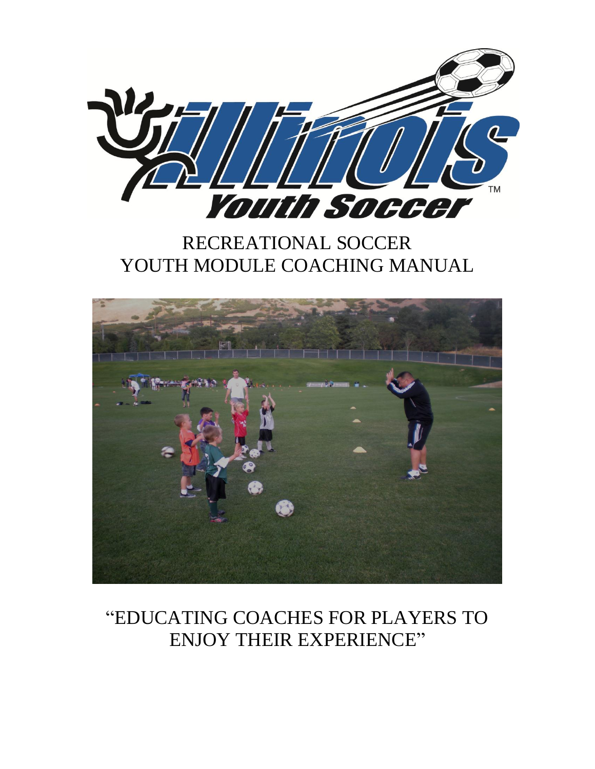

## RECREATIONAL SOCCER YOUTH MODULE COACHING MANUAL



## "EDUCATING COACHES FOR PLAYERS TO ENJOY THEIR EXPERIENCE"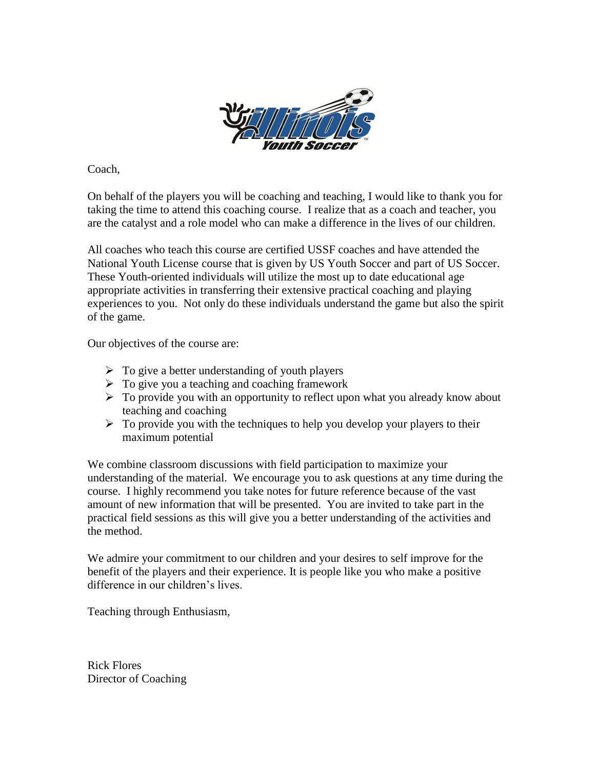

Coach,

On behalf of the players you will be coaching and teaching, I would like to thank you for taking the time to attend this coaching course. I realize that as a coach and teacher, you are the catalyst and a role model who can make a difference in the lives of our children.

All coaches who teach this course are certified USSF coaches and have attended the National Youth License course that is given by US Youth Soccer and part of US Soccer. These Youth-oriented individuals will utilize the most up to date educational age appropriate activities in transferring their extensive practical coaching and playing experiences to you. Not only do these individuals understand the game but also the spirit of the game.

Our objectives of the course are:

- $\triangleright$  To give a better understanding of youth players
- $\triangleright$  To give you a teaching and coaching framework
- $\triangleright$  To provide you with an opportunity to reflect upon what you already know about teaching and coaching
- $\triangleright$  To provide you with the techniques to help you develop your players to their maximum potential

We combine classroom discussions with field participation to maximize your understanding of the material. We encourage you to ask questions at any time during the course. I highly recommend you take notes for future reference because of the vast amount of new information that will be presented. You are invited to take part in the practical field sessions as this will give you a better understanding of the activities and the method.

We admire your commitment to our children and your desires to self improve for the benefit of the players and their experience. It is people like you who make a positive difference in our children's lives.

Teaching through Enthusiasm,

Rick Flores Director of Coaching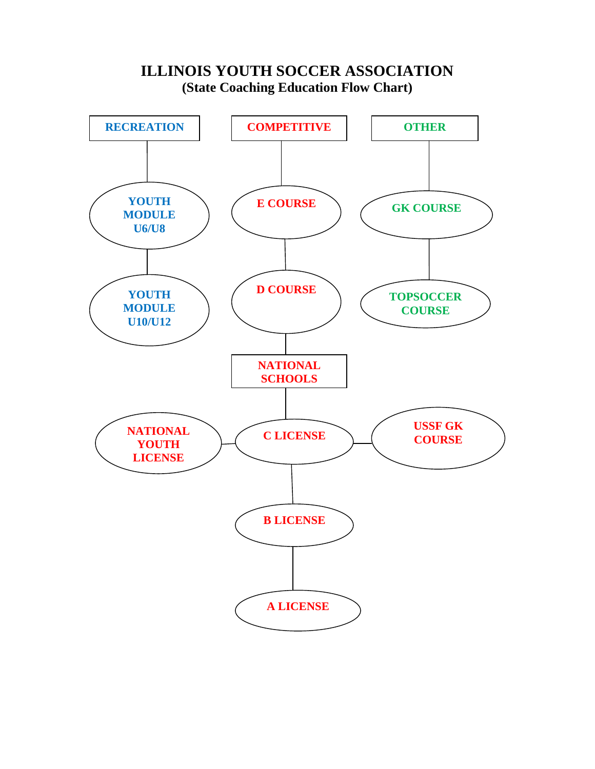

## **ILLINOIS YOUTH SOCCER ASSOCIATION (State Coaching Education Flow Chart)**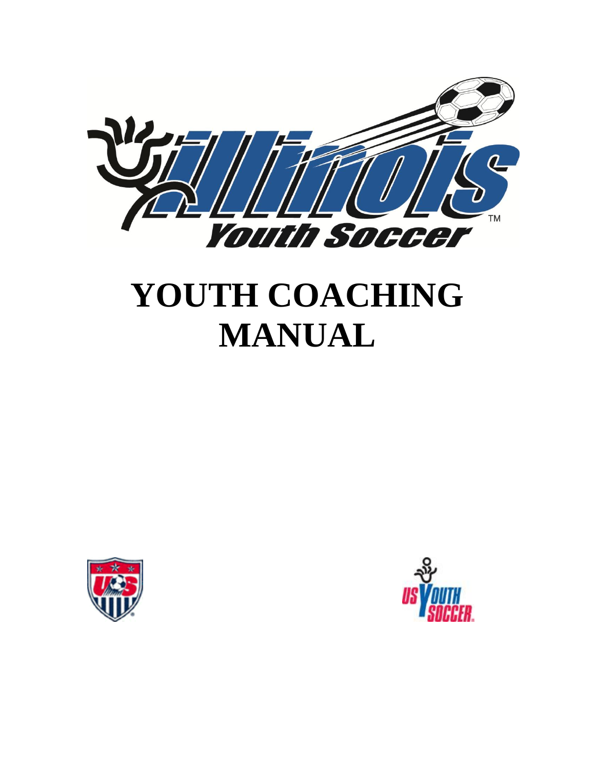

# **YOUTH COACHING MANUAL**



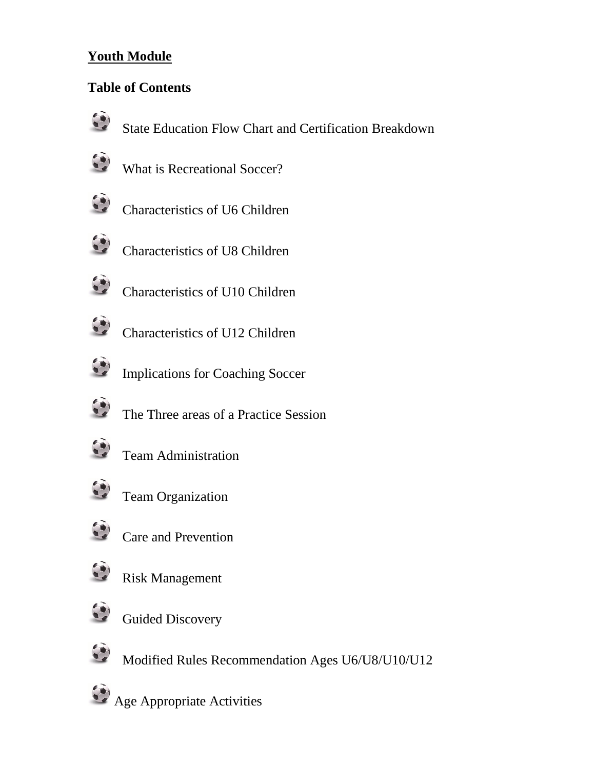## **Youth Module**

## **Table of Contents**



State Education Flow Chart and Certification Breakdown



What is Recreational Soccer?



Characteristics of U6 Children



Characteristics of U8 Children

- Characteristics of U10 Children
- Characteristics of U12 Children
- Implications for Coaching Soccer
- The Three areas of a Practice Session



Team Administration



Team Organization



Care and Prevention



Risk Management



Guided Discovery



Modified Rules Recommendation Ages U6/U8/U10/U12

Age Appropriate Activities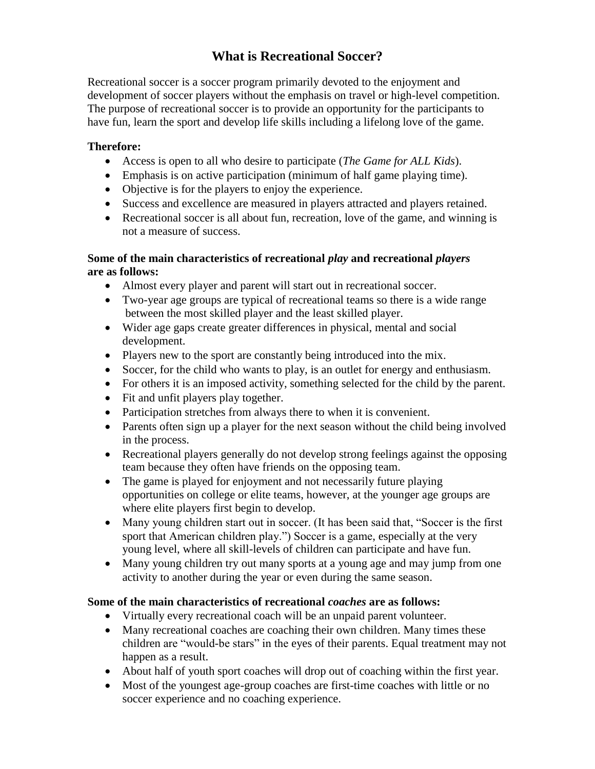## **What is Recreational Soccer?**

Recreational soccer is a soccer program primarily devoted to the enjoyment and development of soccer players without the emphasis on travel or high-level competition. The purpose of recreational soccer is to provide an opportunity for the participants to have fun, learn the sport and develop life skills including a lifelong love of the game.

#### **Therefore:**

- Access is open to all who desire to participate (*The Game for ALL Kids*).
- Emphasis is on active participation (minimum of half game playing time).
- Objective is for the players to enjoy the experience.
- Success and excellence are measured in players attracted and players retained.
- Recreational soccer is all about fun, recreation, love of the game, and winning is not a measure of success.

#### **Some of the main characteristics of recreational** *play* **and recreational** *players* **are as follows:**

- Almost every player and parent will start out in recreational soccer.
- Two-year age groups are typical of recreational teams so there is a wide range between the most skilled player and the least skilled player.
- Wider age gaps create greater differences in physical, mental and social development.
- Players new to the sport are constantly being introduced into the mix.
- Soccer, for the child who wants to play, is an outlet for energy and enthusiasm.
- For others it is an imposed activity, something selected for the child by the parent.
- Fit and unfit players play together.
- Participation stretches from always there to when it is convenient.
- Parents often sign up a player for the next season without the child being involved in the process.
- Recreational players generally do not develop strong feelings against the opposing team because they often have friends on the opposing team.
- The game is played for enjoyment and not necessarily future playing opportunities on college or elite teams, however, at the younger age groups are where elite players first begin to develop.
- Many young children start out in soccer. (It has been said that, "Soccer is the first sport that American children play.") Soccer is a game, especially at the very young level, where all skill-levels of children can participate and have fun.
- Many young children try out many sports at a young age and may jump from one activity to another during the year or even during the same season.

#### **Some of the main characteristics of recreational** *coaches* **are as follows:**

- Virtually every recreational coach will be an unpaid parent volunteer.
- Many recreational coaches are coaching their own children. Many times these children are "would-be stars" in the eyes of their parents. Equal treatment may not happen as a result.
- About half of youth sport coaches will drop out of coaching within the first year.
- Most of the youngest age-group coaches are first-time coaches with little or no soccer experience and no coaching experience.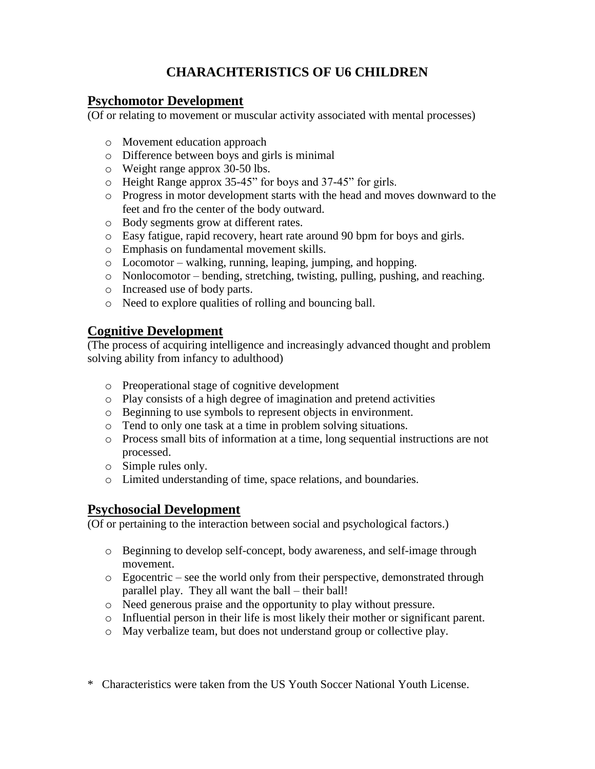## **CHARACHTERISTICS OF U6 CHILDREN**

#### **Psychomotor Development**

(Of or relating to movement or muscular activity associated with mental processes)

- o Movement education approach
- o Difference between boys and girls is minimal
- o Weight range approx 30-50 lbs.
- o Height Range approx 35-45" for boys and 37-45" for girls.
- o Progress in motor development starts with the head and moves downward to the feet and fro the center of the body outward.
- o Body segments grow at different rates.
- o Easy fatigue, rapid recovery, heart rate around 90 bpm for boys and girls.
- o Emphasis on fundamental movement skills.
- o Locomotor walking, running, leaping, jumping, and hopping.
- o Nonlocomotor bending, stretching, twisting, pulling, pushing, and reaching.
- o Increased use of body parts.
- o Need to explore qualities of rolling and bouncing ball.

#### **Cognitive Development**

(The process of acquiring intelligence and increasingly advanced thought and problem solving ability from infancy to adulthood)

- o Preoperational stage of cognitive development
- o Play consists of a high degree of imagination and pretend activities
- o Beginning to use symbols to represent objects in environment.
- o Tend to only one task at a time in problem solving situations.
- o Process small bits of information at a time, long sequential instructions are not processed.
- o Simple rules only.
- o Limited understanding of time, space relations, and boundaries.

#### **Psychosocial Development**

(Of or pertaining to the interaction between social and psychological factors.)

- o Beginning to develop self-concept, body awareness, and self-image through movement.
- $\circ$  Egocentric see the world only from their perspective, demonstrated through parallel play. They all want the ball – their ball!
- o Need generous praise and the opportunity to play without pressure.
- o Influential person in their life is most likely their mother or significant parent.
- o May verbalize team, but does not understand group or collective play.
- \* Characteristics were taken from the US Youth Soccer National Youth License.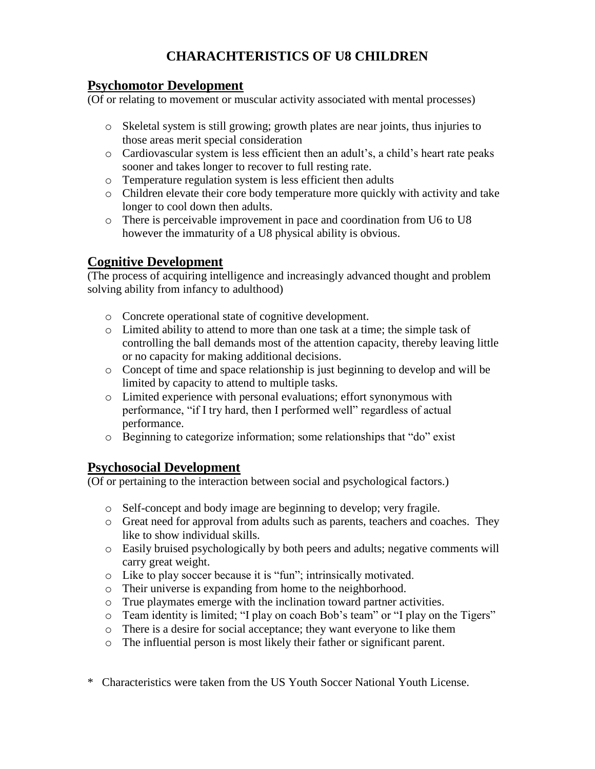## **CHARACHTERISTICS OF U8 CHILDREN**

#### **Psychomotor Development**

(Of or relating to movement or muscular activity associated with mental processes)

- o Skeletal system is still growing; growth plates are near joints, thus injuries to those areas merit special consideration
- o Cardiovascular system is less efficient then an adult's, a child's heart rate peaks sooner and takes longer to recover to full resting rate.
- o Temperature regulation system is less efficient then adults
- o Children elevate their core body temperature more quickly with activity and take longer to cool down then adults.
- o There is perceivable improvement in pace and coordination from U6 to U8 however the immaturity of a U8 physical ability is obvious.

### **Cognitive Development**

(The process of acquiring intelligence and increasingly advanced thought and problem solving ability from infancy to adulthood)

- o Concrete operational state of cognitive development.
- o Limited ability to attend to more than one task at a time; the simple task of controlling the ball demands most of the attention capacity, thereby leaving little or no capacity for making additional decisions.
- o Concept of time and space relationship is just beginning to develop and will be limited by capacity to attend to multiple tasks.
- o Limited experience with personal evaluations; effort synonymous with performance, "if I try hard, then I performed well" regardless of actual performance.
- o Beginning to categorize information; some relationships that "do" exist

### **Psychosocial Development**

(Of or pertaining to the interaction between social and psychological factors.)

- o Self-concept and body image are beginning to develop; very fragile.
- o Great need for approval from adults such as parents, teachers and coaches. They like to show individual skills.
- o Easily bruised psychologically by both peers and adults; negative comments will carry great weight.
- o Like to play soccer because it is "fun"; intrinsically motivated.
- o Their universe is expanding from home to the neighborhood.
- o True playmates emerge with the inclination toward partner activities.
- o Team identity is limited; "I play on coach Bob's team" or "I play on the Tigers"
- o There is a desire for social acceptance; they want everyone to like them
- o The influential person is most likely their father or significant parent.
- \* Characteristics were taken from the US Youth Soccer National Youth License.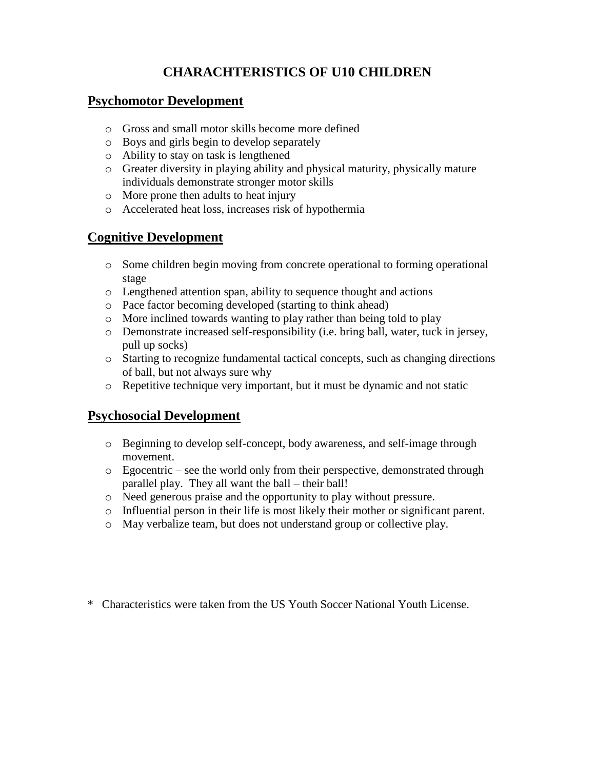## **CHARACHTERISTICS OF U10 CHILDREN**

#### **Psychomotor Development**

- o Gross and small motor skills become more defined
- o Boys and girls begin to develop separately
- o Ability to stay on task is lengthened
- o Greater diversity in playing ability and physical maturity, physically mature individuals demonstrate stronger motor skills
- o More prone then adults to heat injury
- o Accelerated heat loss, increases risk of hypothermia

## **Cognitive Development**

- o Some children begin moving from concrete operational to forming operational stage
- o Lengthened attention span, ability to sequence thought and actions
- o Pace factor becoming developed (starting to think ahead)
- o More inclined towards wanting to play rather than being told to play
- o Demonstrate increased self-responsibility (i.e. bring ball, water, tuck in jersey, pull up socks)
- o Starting to recognize fundamental tactical concepts, such as changing directions of ball, but not always sure why
- o Repetitive technique very important, but it must be dynamic and not static

## **Psychosocial Development**

- o Beginning to develop self-concept, body awareness, and self-image through movement.
- o Egocentric see the world only from their perspective, demonstrated through parallel play. They all want the ball – their ball!
- o Need generous praise and the opportunity to play without pressure.
- o Influential person in their life is most likely their mother or significant parent.
- o May verbalize team, but does not understand group or collective play.

\* Characteristics were taken from the US Youth Soccer National Youth License.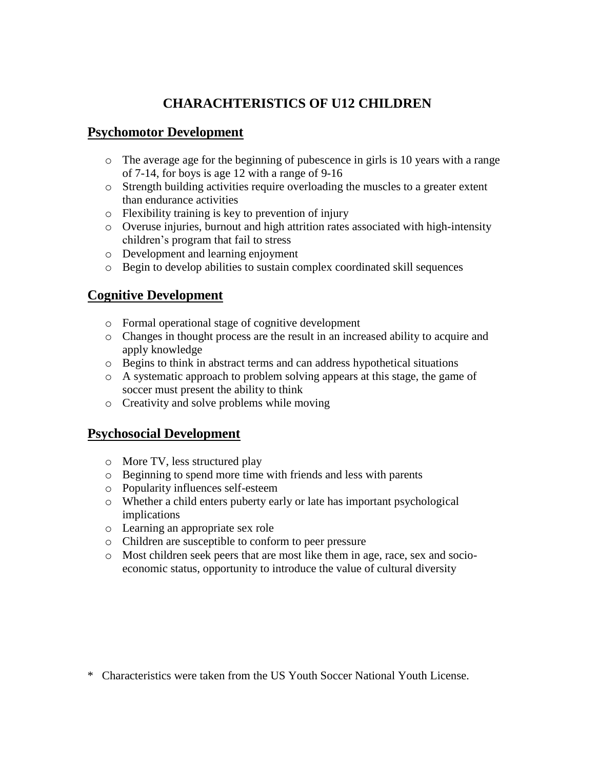## **CHARACHTERISTICS OF U12 CHILDREN**

### **Psychomotor Development**

- o The average age for the beginning of pubescence in girls is 10 years with a range of 7-14, for boys is age 12 with a range of 9-16
- o Strength building activities require overloading the muscles to a greater extent than endurance activities
- o Flexibility training is key to prevention of injury
- o Overuse injuries, burnout and high attrition rates associated with high-intensity children's program that fail to stress
- o Development and learning enjoyment
- o Begin to develop abilities to sustain complex coordinated skill sequences

## **Cognitive Development**

- o Formal operational stage of cognitive development
- o Changes in thought process are the result in an increased ability to acquire and apply knowledge
- o Begins to think in abstract terms and can address hypothetical situations
- $\circ$  A systematic approach to problem solving appears at this stage, the game of soccer must present the ability to think
- o Creativity and solve problems while moving

## **Psychosocial Development**

- o More TV, less structured play
- o Beginning to spend more time with friends and less with parents
- o Popularity influences self-esteem
- o Whether a child enters puberty early or late has important psychological implications
- o Learning an appropriate sex role
- o Children are susceptible to conform to peer pressure
- o Most children seek peers that are most like them in age, race, sex and socioeconomic status, opportunity to introduce the value of cultural diversity

\* Characteristics were taken from the US Youth Soccer National Youth License.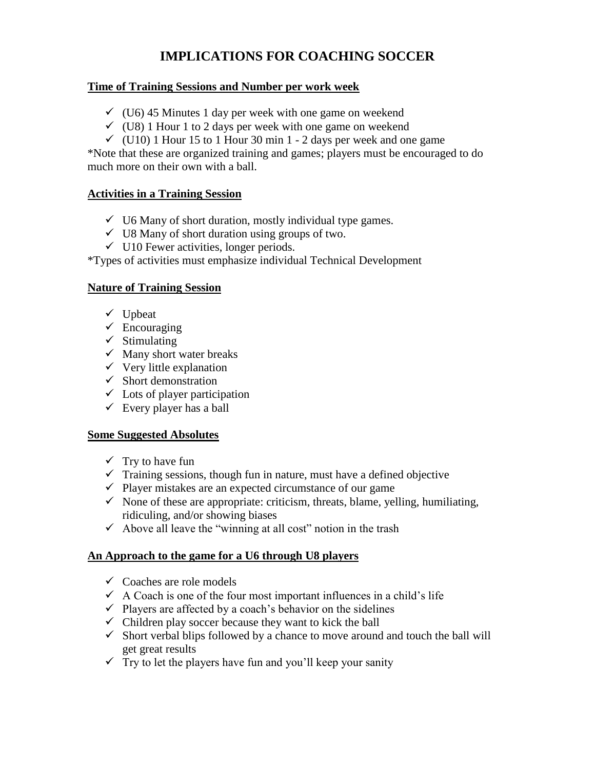## **IMPLICATIONS FOR COACHING SOCCER**

#### **Time of Training Sessions and Number per work week**

- $\checkmark$  (U6) 45 Minutes 1 day per week with one game on weekend
- $\checkmark$  (U8) 1 Hour 1 to 2 days per week with one game on weekend
- $\checkmark$  (U10) 1 Hour 15 to 1 Hour 30 min 1 2 days per week and one game

\*Note that these are organized training and games; players must be encouraged to do much more on their own with a ball.

#### **Activities in a Training Session**

- $\checkmark$  U6 Many of short duration, mostly individual type games.
- $\checkmark$  U8 Many of short duration using groups of two.
- $\checkmark$  U10 Fewer activities, longer periods.

\*Types of activities must emphasize individual Technical Development

#### **Nature of Training Session**

- $\checkmark$  Upbeat
- $\checkmark$  Encouraging
- $\checkmark$  Stimulating
- $\checkmark$  Many short water breaks
- $\checkmark$  Very little explanation
- $\checkmark$  Short demonstration
- $\checkmark$  Lots of player participation
- $\checkmark$  Every player has a ball

#### **Some Suggested Absolutes**

- $\checkmark$  Try to have fun
- $\checkmark$  Training sessions, though fun in nature, must have a defined objective
- $\checkmark$  Player mistakes are an expected circumstance of our game
- $\checkmark$  None of these are appropriate: criticism, threats, blame, yelling, humiliating, ridiculing, and/or showing biases
- $\checkmark$  Above all leave the "winning at all cost" notion in the trash

#### **An Approach to the game for a U6 through U8 players**

- $\checkmark$  Coaches are role models
- $\checkmark$  A Coach is one of the four most important influences in a child's life
- $\checkmark$  Players are affected by a coach's behavior on the sidelines
- $\checkmark$  Children play soccer because they want to kick the ball
- $\checkmark$  Short verbal blips followed by a chance to move around and touch the ball will get great results
- $\checkmark$  Try to let the players have fun and you'll keep your sanity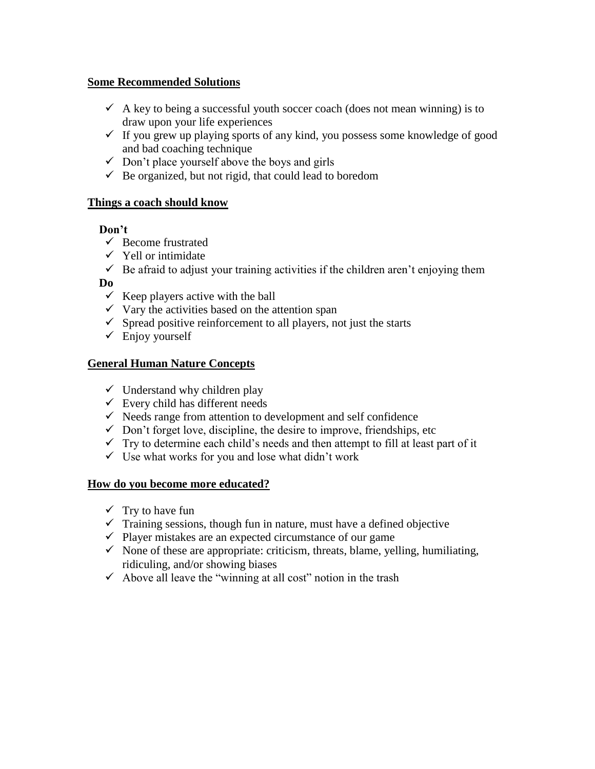#### **Some Recommended Solutions**

- $\checkmark$  A key to being a successful youth soccer coach (does not mean winning) is to draw upon your life experiences
- $\checkmark$  If you grew up playing sports of any kind, you possess some knowledge of good and bad coaching technique
- $\checkmark$  Don't place yourself above the boys and girls
- $\checkmark$  Be organized, but not rigid, that could lead to boredom

#### **Things a coach should know**

#### **Don't**

- $\checkmark$  Become frustrated
- $\checkmark$  Yell or intimidate
- $\checkmark$  Be afraid to adjust your training activities if the children aren't enjoying them

#### **Do**

- $\checkmark$  Keep players active with the ball
- $\checkmark$  Vary the activities based on the attention span
- $\checkmark$  Spread positive reinforcement to all players, not just the starts
- $\checkmark$  Enjoy yourself

#### **General Human Nature Concepts**

- $\checkmark$  Understand why children play
- $\checkmark$  Every child has different needs
- $\checkmark$  Needs range from attention to development and self confidence
- $\checkmark$  Don't forget love, discipline, the desire to improve, friendships, etc
- $\checkmark$  Try to determine each child's needs and then attempt to fill at least part of it
- $\checkmark$  Use what works for you and lose what didn't work

#### **How do you become more educated?**

- $\checkmark$  Try to have fun
- $\checkmark$  Training sessions, though fun in nature, must have a defined objective
- $\checkmark$  Player mistakes are an expected circumstance of our game
- $\checkmark$  None of these are appropriate: criticism, threats, blame, yelling, humiliating, ridiculing, and/or showing biases
- $\checkmark$  Above all leave the "winning at all cost" notion in the trash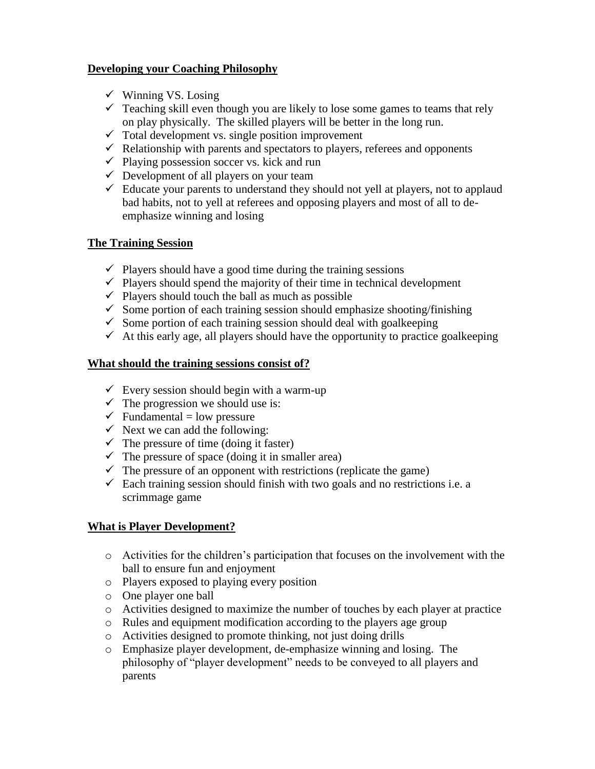#### **Developing your Coaching Philosophy**

- $\checkmark$  Winning VS. Losing
- $\checkmark$  Teaching skill even though you are likely to lose some games to teams that rely on play physically. The skilled players will be better in the long run.
- $\checkmark$  Total development vs. single position improvement
- $\checkmark$  Relationship with parents and spectators to players, referees and opponents
- $\checkmark$  Playing possession soccer vs. kick and run
- $\checkmark$  Development of all players on your team
- $\checkmark$  Educate your parents to understand they should not yell at players, not to applaud bad habits, not to yell at referees and opposing players and most of all to deemphasize winning and losing

#### **The Training Session**

- $\checkmark$  Players should have a good time during the training sessions
- $\checkmark$  Players should spend the majority of their time in technical development
- $\checkmark$  Players should touch the ball as much as possible
- $\checkmark$  Some portion of each training session should emphasize shooting/finishing
- $\checkmark$  Some portion of each training session should deal with goalkeeping
- $\checkmark$  At this early age, all players should have the opportunity to practice goalkeeping

#### **What should the training sessions consist of?**

- $\checkmark$  Every session should begin with a warm-up
- $\checkmark$  The progression we should use is:
- $\checkmark$  Fundamental = low pressure
- $\checkmark$  Next we can add the following:
- $\checkmark$  The pressure of time (doing it faster)
- $\checkmark$  The pressure of space (doing it in smaller area)
- $\checkmark$  The pressure of an opponent with restrictions (replicate the game)
- $\checkmark$  Each training session should finish with two goals and no restrictions i.e. a scrimmage game

#### **What is Player Development?**

- o Activities for the children's participation that focuses on the involvement with the ball to ensure fun and enjoyment
- o Players exposed to playing every position
- o One player one ball
- o Activities designed to maximize the number of touches by each player at practice
- o Rules and equipment modification according to the players age group
- o Activities designed to promote thinking, not just doing drills
- o Emphasize player development, de-emphasize winning and losing. The philosophy of "player development" needs to be conveyed to all players and parents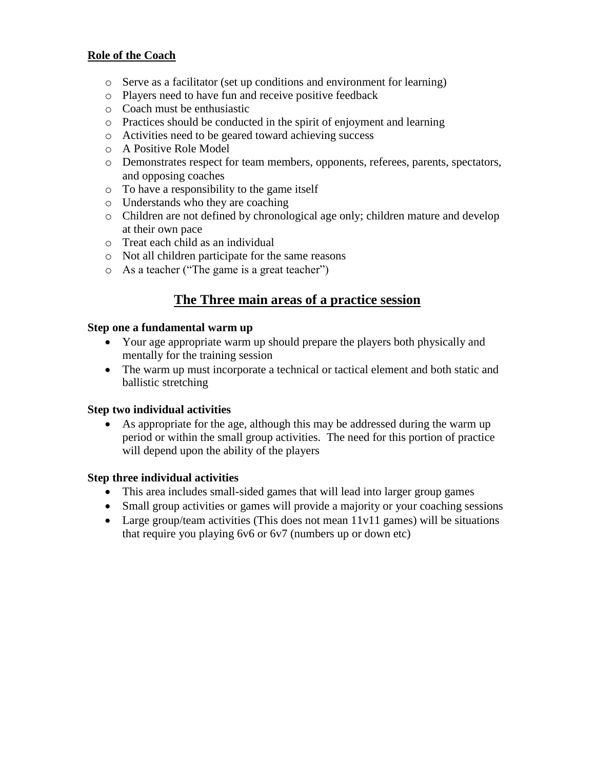#### **Role of the Coach**

- o Serve as a facilitator (set up conditions and environment for learning)
- o Players need to have fun and receive positive feedback
- o Coach must be enthusiastic
- o Practices should be conducted in the spirit of enjoyment and learning
- o Activities need to be geared toward achieving success
- o A Positive Role Model
- o Demonstrates respect for team members, opponents, referees, parents, spectators, and opposing coaches
- o To have a responsibility to the game itself
- o Understands who they are coaching
- o Children are not defined by chronological age only; children mature and develop at their own pace
- o Treat each child as an individual
- o Not all children participate for the same reasons
- o As a teacher ("The game is a great teacher")

## **The Three main areas of a practice session**

#### **Step one a fundamental warm up**

- Your age appropriate warm up should prepare the players both physically and mentally for the training session
- The warm up must incorporate a technical or tactical element and both static and ballistic stretching

#### **Step two individual activities**

 As appropriate for the age, although this may be addressed during the warm up period or within the small group activities. The need for this portion of practice will depend upon the ability of the players

#### **Step three individual activities**

- This area includes small-sided games that will lead into larger group games
- Small group activities or games will provide a majority or your coaching sessions
- Large group/team activities (This does not mean 11v11 games) will be situations that require you playing 6v6 or 6v7 (numbers up or down etc)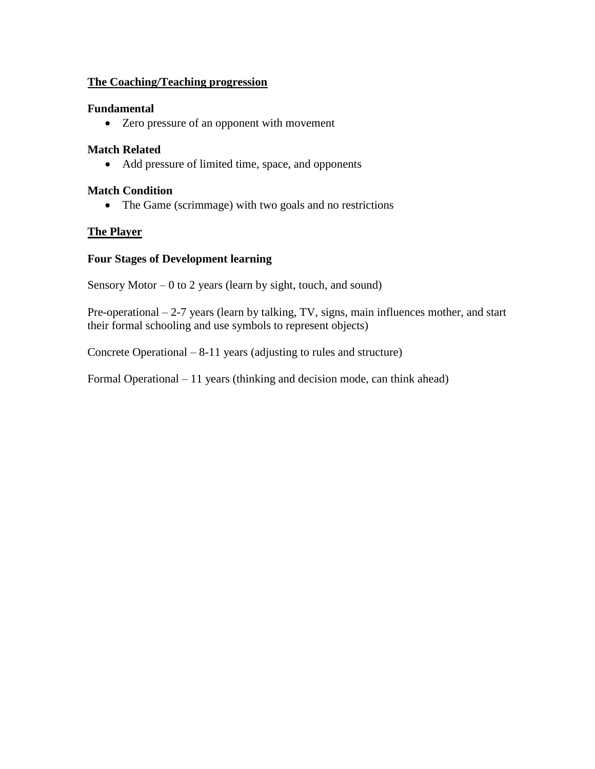#### **The Coaching/Teaching progression**

#### **Fundamental**

Zero pressure of an opponent with movement

#### **Match Related**

Add pressure of limited time, space, and opponents

#### **Match Condition**

• The Game (scrimmage) with two goals and no restrictions

#### **The Player**

#### **Four Stages of Development learning**

Sensory Motor  $-0$  to 2 years (learn by sight, touch, and sound)

Pre-operational – 2-7 years (learn by talking, TV, signs, main influences mother, and start their formal schooling and use symbols to represent objects)

Concrete Operational – 8-11 years (adjusting to rules and structure)

Formal Operational – 11 years (thinking and decision mode, can think ahead)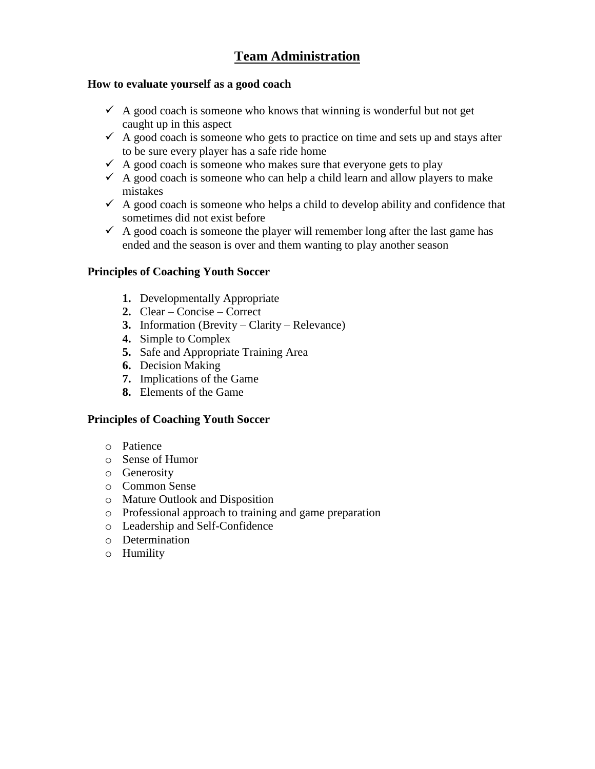## **Team Administration**

#### **How to evaluate yourself as a good coach**

- $\checkmark$  A good coach is someone who knows that winning is wonderful but not get caught up in this aspect
- $\checkmark$  A good coach is someone who gets to practice on time and sets up and stays after to be sure every player has a safe ride home
- $\checkmark$  A good coach is someone who makes sure that everyone gets to play
- $\checkmark$  A good coach is someone who can help a child learn and allow players to make mistakes
- $\checkmark$  A good coach is someone who helps a child to develop ability and confidence that sometimes did not exist before
- $\checkmark$  A good coach is someone the player will remember long after the last game has ended and the season is over and them wanting to play another season

#### **Principles of Coaching Youth Soccer**

- **1.** Developmentally Appropriate
- **2.** Clear Concise Correct
- **3.** Information (Brevity Clarity Relevance)
- **4.** Simple to Complex
- **5.** Safe and Appropriate Training Area
- **6.** Decision Making
- **7.** Implications of the Game
- **8.** Elements of the Game

#### **Principles of Coaching Youth Soccer**

- o Patience
- o Sense of Humor
- o Generosity
- o Common Sense
- o Mature Outlook and Disposition
- o Professional approach to training and game preparation
- o Leadership and Self-Confidence
- o Determination
- o Humility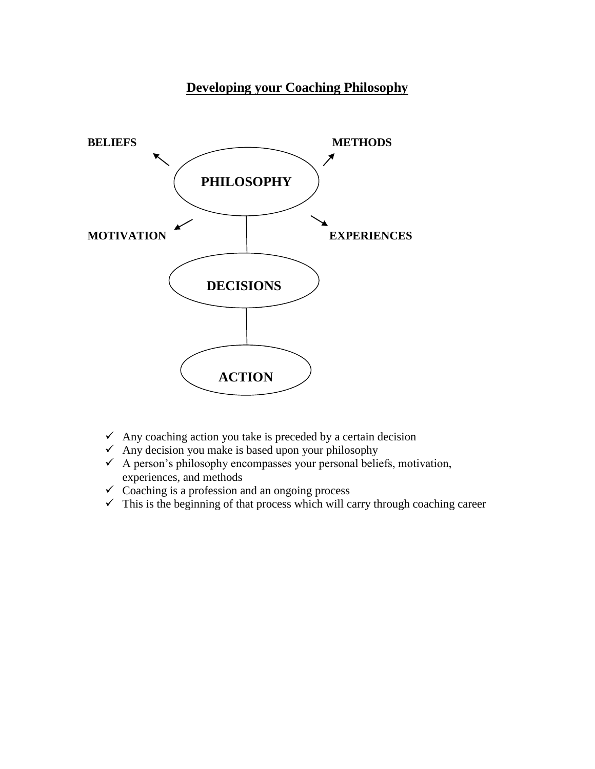## **Developing your Coaching Philosophy**



- $\checkmark$  Any coaching action you take is preceded by a certain decision
- $\checkmark$  Any decision you make is based upon your philosophy
- $\checkmark$  A person's philosophy encompasses your personal beliefs, motivation, experiences, and methods
- $\checkmark$  Coaching is a profession and an ongoing process
- $\checkmark$  This is the beginning of that process which will carry through coaching career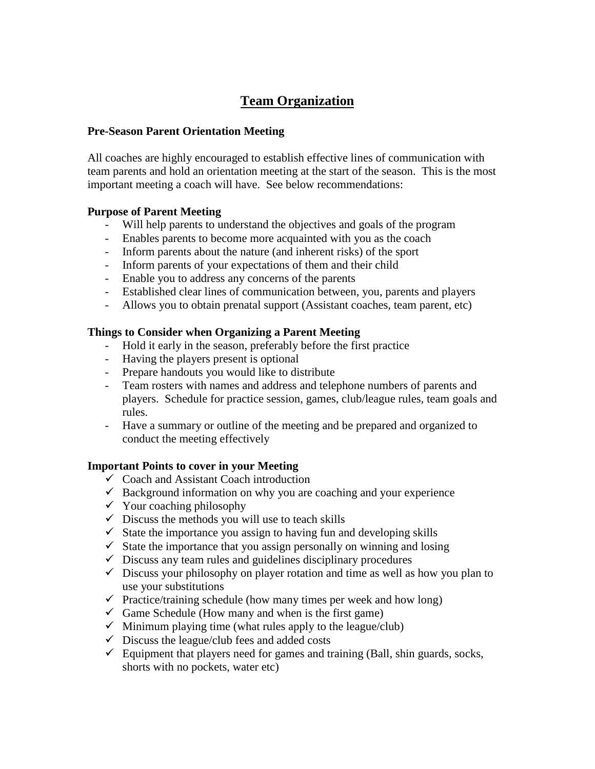## **Team Organization**

#### **Pre-Season Parent Orientation Meeting**

All coaches are highly encouraged to establish effective lines of communication with team parents and hold an orientation meeting at the start of the season. This is the most important meeting a coach will have. See below recommendations:

#### **Purpose of Parent Meeting**

- Will help parents to understand the objectives and goals of the program
- Enables parents to become more acquainted with you as the coach
- Inform parents about the nature (and inherent risks) of the sport
- Inform parents of your expectations of them and their child
- Enable you to address any concerns of the parents
- Established clear lines of communication between, you, parents and players
- Allows you to obtain prenatal support (Assistant coaches, team parent, etc)

#### **Things to Consider when Organizing a Parent Meeting**

- Hold it early in the season, preferably before the first practice
- Having the players present is optional
- Prepare handouts you would like to distribute
- Team rosters with names and address and telephone numbers of parents and players. Schedule for practice session, games, club/league rules, team goals and rules.
- Have a summary or outline of the meeting and be prepared and organized to conduct the meeting effectively

#### **Important Points to cover in your Meeting**

- $\checkmark$  Coach and Assistant Coach introduction
- $\checkmark$  Background information on why you are coaching and your experience
- $\checkmark$  Your coaching philosophy
- $\checkmark$  Discuss the methods you will use to teach skills
- $\checkmark$  State the importance you assign to having fun and developing skills
- $\checkmark$  State the importance that you assign personally on winning and losing
- $\checkmark$  Discuss any team rules and guidelines disciplinary procedures
- $\checkmark$  Discuss your philosophy on player rotation and time as well as how you plan to use your substitutions
- $\checkmark$  Practice/training schedule (how many times per week and how long)
- $\checkmark$  Game Schedule (How many and when is the first game)
- $\checkmark$  Minimum playing time (what rules apply to the league/club)
- $\checkmark$  Discuss the league/club fees and added costs
- $\checkmark$  Equipment that players need for games and training (Ball, shin guards, socks, shorts with no pockets, water etc)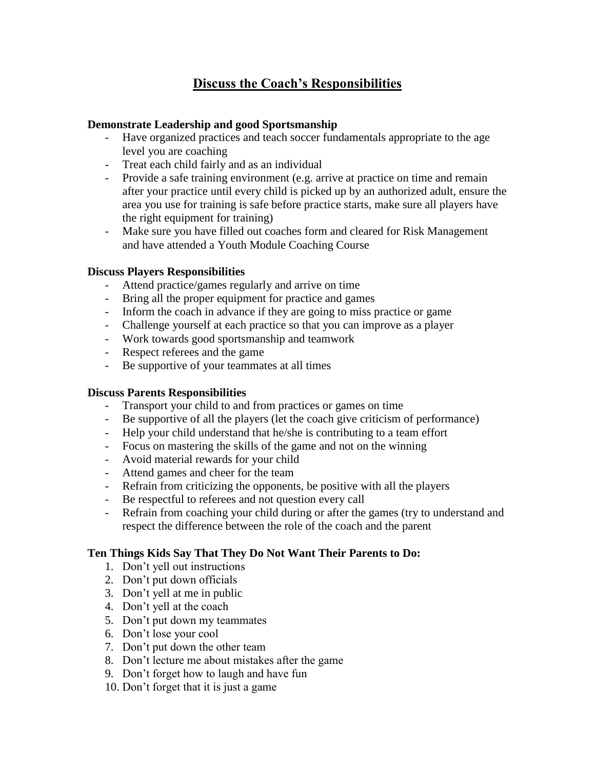## **Discuss the Coach's Responsibilities**

#### **Demonstrate Leadership and good Sportsmanship**

- Have organized practices and teach soccer fundamentals appropriate to the age level you are coaching
- Treat each child fairly and as an individual
- Provide a safe training environment (e.g. arrive at practice on time and remain after your practice until every child is picked up by an authorized adult, ensure the area you use for training is safe before practice starts, make sure all players have the right equipment for training)
- Make sure you have filled out coaches form and cleared for Risk Management and have attended a Youth Module Coaching Course

#### **Discuss Players Responsibilities**

- Attend practice/games regularly and arrive on time
- Bring all the proper equipment for practice and games
- Inform the coach in advance if they are going to miss practice or game
- Challenge yourself at each practice so that you can improve as a player
- Work towards good sportsmanship and teamwork
- Respect referees and the game
- Be supportive of your teammates at all times

#### **Discuss Parents Responsibilities**

- Transport your child to and from practices or games on time
- Be supportive of all the players (let the coach give criticism of performance)
- Help your child understand that he/she is contributing to a team effort
- Focus on mastering the skills of the game and not on the winning
- Avoid material rewards for your child
- Attend games and cheer for the team
- Refrain from criticizing the opponents, be positive with all the players
- Be respectful to referees and not question every call
- Refrain from coaching your child during or after the games (try to understand and respect the difference between the role of the coach and the parent

#### **Ten Things Kids Say That They Do Not Want Their Parents to Do:**

- 1. Don't yell out instructions
- 2. Don't put down officials
- 3. Don't yell at me in public
- 4. Don't yell at the coach
- 5. Don't put down my teammates
- 6. Don't lose your cool
- 7. Don't put down the other team
- 8. Don't lecture me about mistakes after the game
- 9. Don't forget how to laugh and have fun
- 10. Don't forget that it is just a game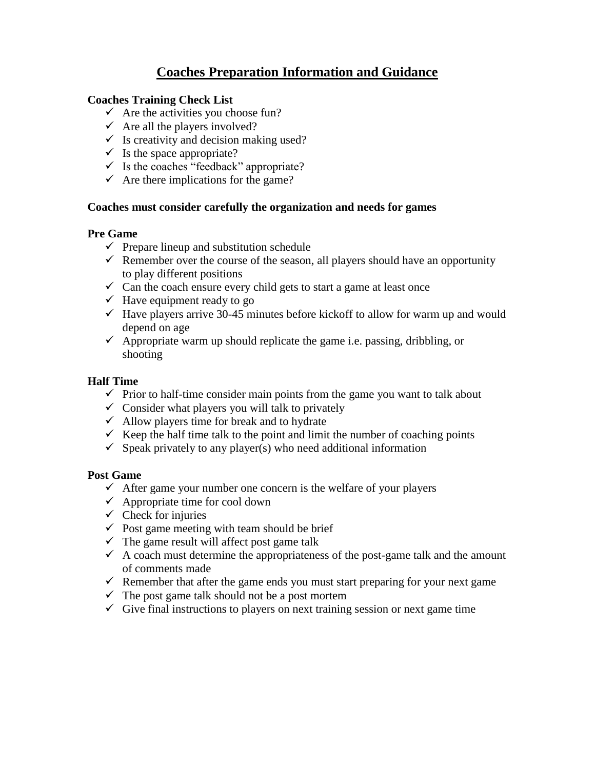## **Coaches Preparation Information and Guidance**

#### **Coaches Training Check List**

- $\checkmark$  Are the activities you choose fun?
- $\checkmark$  Are all the players involved?
- $\checkmark$  Is creativity and decision making used?
- $\checkmark$  Is the space appropriate?
- $\checkmark$  Is the coaches "feedback" appropriate?
- $\checkmark$  Are there implications for the game?

#### **Coaches must consider carefully the organization and needs for games**

#### **Pre Game**

- $\checkmark$  Prepare lineup and substitution schedule
- $\checkmark$  Remember over the course of the season, all players should have an opportunity to play different positions
- $\checkmark$  Can the coach ensure every child gets to start a game at least once
- $\checkmark$  Have equipment ready to go
- $\checkmark$  Have players arrive 30-45 minutes before kickoff to allow for warm up and would depend on age
- $\checkmark$  Appropriate warm up should replicate the game i.e. passing, dribbling, or shooting

#### **Half Time**

- $\checkmark$  Prior to half-time consider main points from the game you want to talk about
- $\checkmark$  Consider what players you will talk to privately
- $\checkmark$  Allow players time for break and to hydrate
- $\checkmark$  Keep the half time talk to the point and limit the number of coaching points
- $\checkmark$  Speak privately to any player(s) who need additional information

#### **Post Game**

- $\checkmark$  After game your number one concern is the welfare of your players
- $\checkmark$  Appropriate time for cool down
- $\checkmark$  Check for injuries
- $\checkmark$  Post game meeting with team should be brief
- $\checkmark$  The game result will affect post game talk
- $\checkmark$  A coach must determine the appropriateness of the post-game talk and the amount of comments made
- $\checkmark$  Remember that after the game ends you must start preparing for your next game
- $\checkmark$  The post game talk should not be a post mortem
- $\checkmark$  Give final instructions to players on next training session or next game time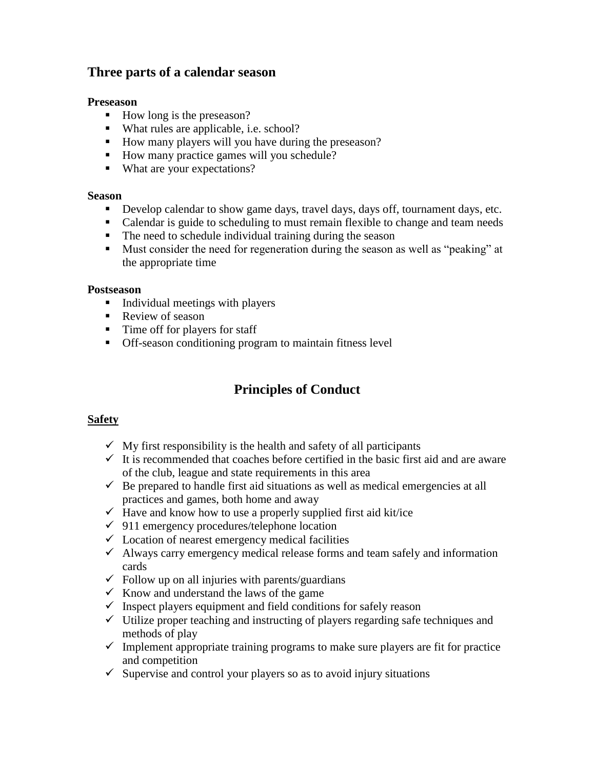#### **Three parts of a calendar season**

#### **Preseason**

- $\blacksquare$  How long is the preseason?
- What rules are applicable, i.e. school?
- $\blacksquare$  How many players will you have during the preseason?
- How many practice games will you schedule?
- What are your expectations?

#### **Season**

- Develop calendar to show game days, travel days, days off, tournament days, etc.
- Calendar is guide to scheduling to must remain flexible to change and team needs
- The need to schedule individual training during the season
- Must consider the need for regeneration during the season as well as "peaking" at the appropriate time

#### **Postseason**

- **Individual meetings with players**
- Review of season
- Time off for players for staff
- Off-season conditioning program to maintain fitness level

## **Principles of Conduct**

#### **Safety**

- $\checkmark$  My first responsibility is the health and safety of all participants
- $\checkmark$  It is recommended that coaches before certified in the basic first aid and are aware of the club, league and state requirements in this area
- $\checkmark$  Be prepared to handle first aid situations as well as medical emergencies at all practices and games, both home and away
- $\checkmark$  Have and know how to use a properly supplied first aid kit/ice
- $\checkmark$  911 emergency procedures/telephone location
- $\checkmark$  Location of nearest emergency medical facilities
- $\checkmark$  Always carry emergency medical release forms and team safely and information cards
- $\checkmark$  Follow up on all injuries with parents/guardians
- $\checkmark$  Know and understand the laws of the game
- $\checkmark$  Inspect players equipment and field conditions for safely reason
- $\checkmark$  Utilize proper teaching and instructing of players regarding safe techniques and methods of play
- $\checkmark$  Implement appropriate training programs to make sure players are fit for practice and competition
- $\checkmark$  Supervise and control your players so as to avoid injury situations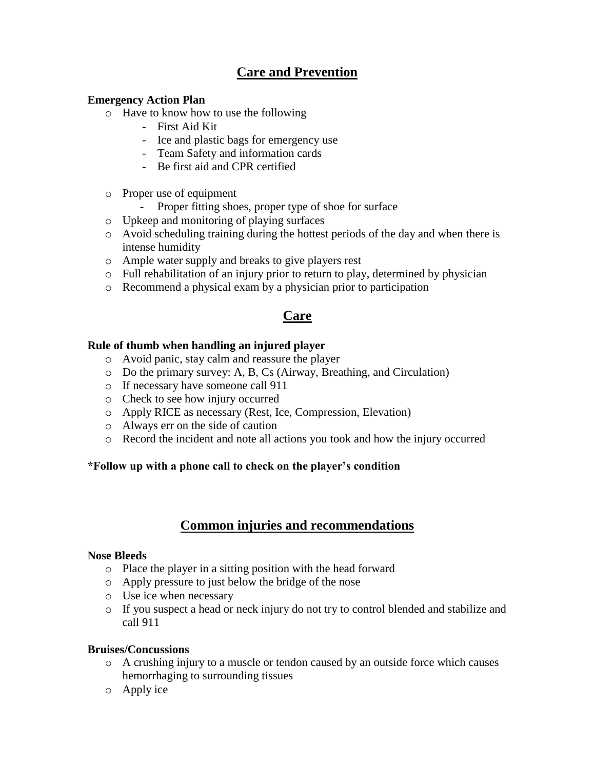## **Care and Prevention**

#### **Emergency Action Plan**

- o Have to know how to use the following
	- First Aid Kit
	- Ice and plastic bags for emergency use
	- Team Safety and information cards
	- Be first aid and CPR certified
- o Proper use of equipment
	- Proper fitting shoes, proper type of shoe for surface
- o Upkeep and monitoring of playing surfaces
- o Avoid scheduling training during the hottest periods of the day and when there is intense humidity
- o Ample water supply and breaks to give players rest
- $\circ$  Full rehabilitation of an injury prior to return to play, determined by physician
- o Recommend a physical exam by a physician prior to participation

### **Care**

#### **Rule of thumb when handling an injured player**

- o Avoid panic, stay calm and reassure the player
- o Do the primary survey: A, B, Cs (Airway, Breathing, and Circulation)
- o If necessary have someone call 911
- o Check to see how injury occurred
- o Apply RICE as necessary (Rest, Ice, Compression, Elevation)
- o Always err on the side of caution
- o Record the incident and note all actions you took and how the injury occurred

#### **\*Follow up with a phone call to check on the player's condition**

#### **Common injuries and recommendations**

#### **Nose Bleeds**

- o Place the player in a sitting position with the head forward
- o Apply pressure to just below the bridge of the nose
- o Use ice when necessary
- o If you suspect a head or neck injury do not try to control blended and stabilize and call 911

#### **Bruises/Concussions**

- o A crushing injury to a muscle or tendon caused by an outside force which causes hemorrhaging to surrounding tissues
- o Apply ice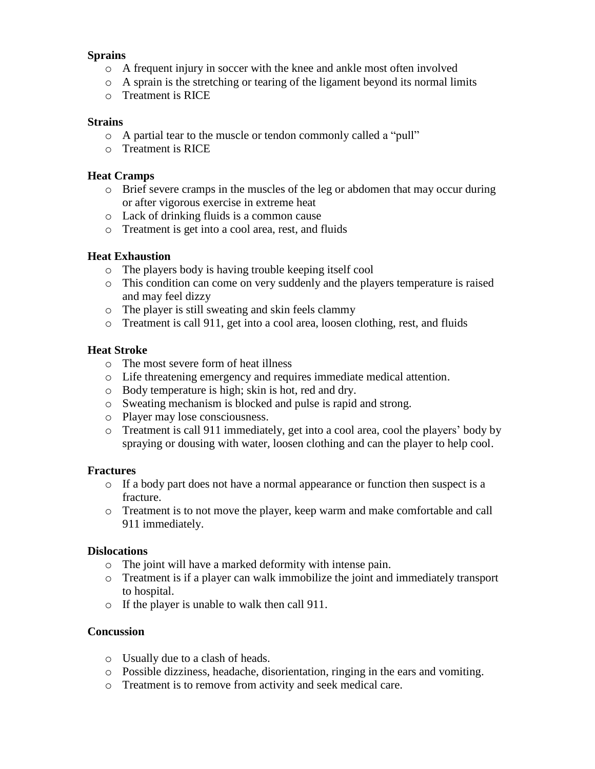#### **Sprains**

- o A frequent injury in soccer with the knee and ankle most often involved
- $\circ$  A sprain is the stretching or tearing of the ligament beyond its normal limits
- o Treatment is RICE

#### **Strains**

- o A partial tear to the muscle or tendon commonly called a "pull"
- o Treatment is RICE

#### **Heat Cramps**

- o Brief severe cramps in the muscles of the leg or abdomen that may occur during or after vigorous exercise in extreme heat
- o Lack of drinking fluids is a common cause
- o Treatment is get into a cool area, rest, and fluids

#### **Heat Exhaustion**

- o The players body is having trouble keeping itself cool
- o This condition can come on very suddenly and the players temperature is raised and may feel dizzy
- o The player is still sweating and skin feels clammy
- o Treatment is call 911, get into a cool area, loosen clothing, rest, and fluids

#### **Heat Stroke**

- o The most severe form of heat illness
- o Life threatening emergency and requires immediate medical attention.
- o Body temperature is high; skin is hot, red and dry.
- o Sweating mechanism is blocked and pulse is rapid and strong.
- o Player may lose consciousness.
- o Treatment is call 911 immediately, get into a cool area, cool the players' body by spraying or dousing with water, loosen clothing and can the player to help cool.

#### **Fractures**

- o If a body part does not have a normal appearance or function then suspect is a fracture.
- o Treatment is to not move the player, keep warm and make comfortable and call 911 immediately.

#### **Dislocations**

- o The joint will have a marked deformity with intense pain.
- o Treatment is if a player can walk immobilize the joint and immediately transport to hospital.
- o If the player is unable to walk then call 911.

#### **Concussion**

- o Usually due to a clash of heads.
- o Possible dizziness, headache, disorientation, ringing in the ears and vomiting.
- o Treatment is to remove from activity and seek medical care.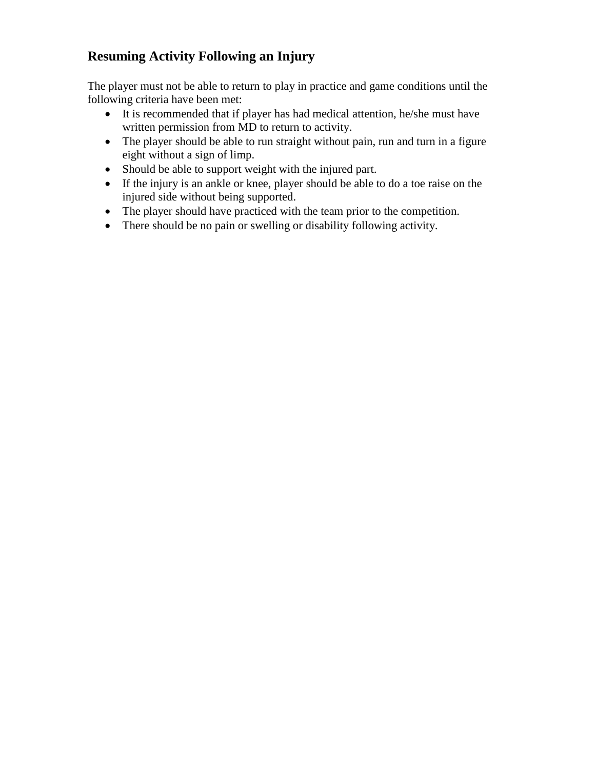## **Resuming Activity Following an Injury**

The player must not be able to return to play in practice and game conditions until the following criteria have been met:

- It is recommended that if player has had medical attention, he/she must have written permission from MD to return to activity.
- The player should be able to run straight without pain, run and turn in a figure eight without a sign of limp.
- Should be able to support weight with the injured part.
- If the injury is an ankle or knee, player should be able to do a toe raise on the injured side without being supported.
- The player should have practiced with the team prior to the competition.
- There should be no pain or swelling or disability following activity.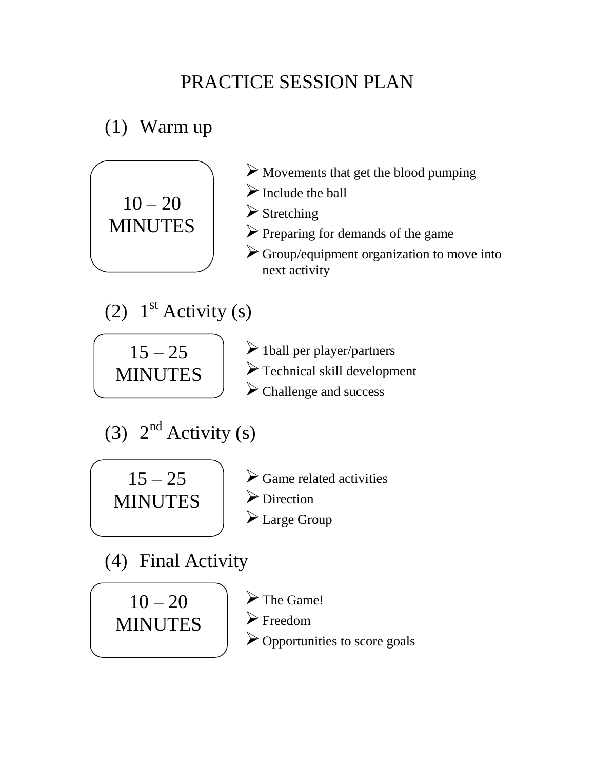## PRACTICE SESSION PLAN

## (1) Warm up

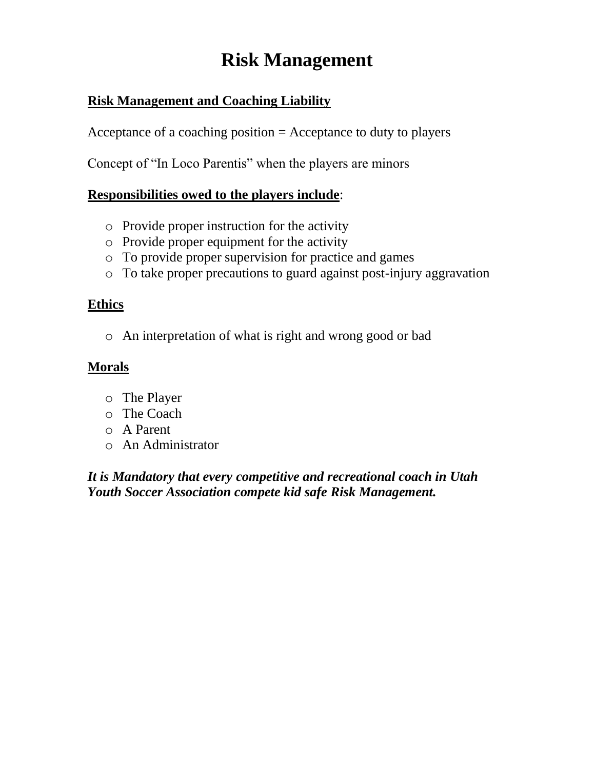## **Risk Management**

## **Risk Management and Coaching Liability**

Acceptance of a coaching position = Acceptance to duty to players

Concept of "In Loco Parentis" when the players are minors

## **Responsibilities owed to the players include**:

- o Provide proper instruction for the activity
- o Provide proper equipment for the activity
- o To provide proper supervision for practice and games
- o To take proper precautions to guard against post-injury aggravation

## **Ethics**

o An interpretation of what is right and wrong good or bad

## **Morals**

- o The Player
- o The Coach
- o A Parent
- o An Administrator

*It is Mandatory that every competitive and recreational coach in Utah Youth Soccer Association compete kid safe Risk Management.*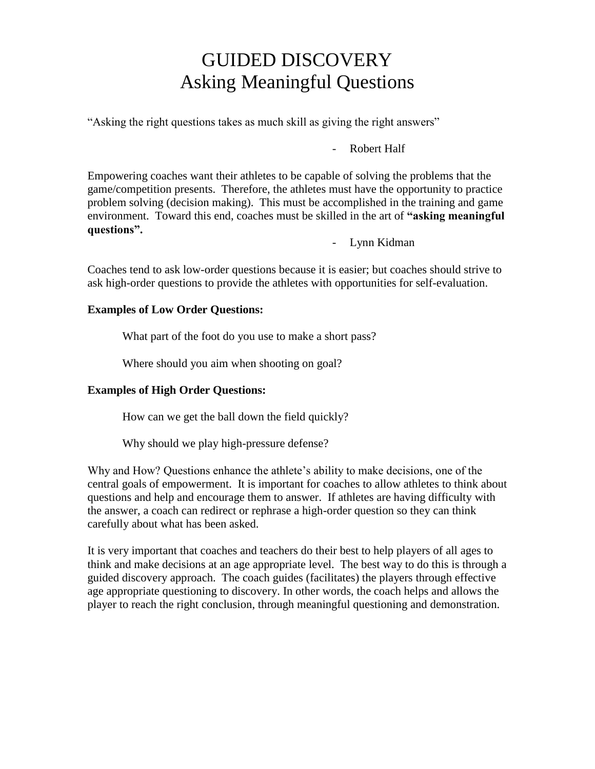## GUIDED DISCOVERY Asking Meaningful Questions

"Asking the right questions takes as much skill as giving the right answers"

Robert Half

Empowering coaches want their athletes to be capable of solving the problems that the game/competition presents. Therefore, the athletes must have the opportunity to practice problem solving (decision making). This must be accomplished in the training and game environment. Toward this end, coaches must be skilled in the art of **"asking meaningful questions".**

- Lynn Kidman

Coaches tend to ask low-order questions because it is easier; but coaches should strive to ask high-order questions to provide the athletes with opportunities for self-evaluation.

#### **Examples of Low Order Questions:**

What part of the foot do you use to make a short pass?

Where should you aim when shooting on goal?

#### **Examples of High Order Questions:**

How can we get the ball down the field quickly?

Why should we play high-pressure defense?

Why and How? Questions enhance the athlete's ability to make decisions, one of the central goals of empowerment. It is important for coaches to allow athletes to think about questions and help and encourage them to answer. If athletes are having difficulty with the answer, a coach can redirect or rephrase a high-order question so they can think carefully about what has been asked.

It is very important that coaches and teachers do their best to help players of all ages to think and make decisions at an age appropriate level. The best way to do this is through a guided discovery approach. The coach guides (facilitates) the players through effective age appropriate questioning to discovery. In other words, the coach helps and allows the player to reach the right conclusion, through meaningful questioning and demonstration.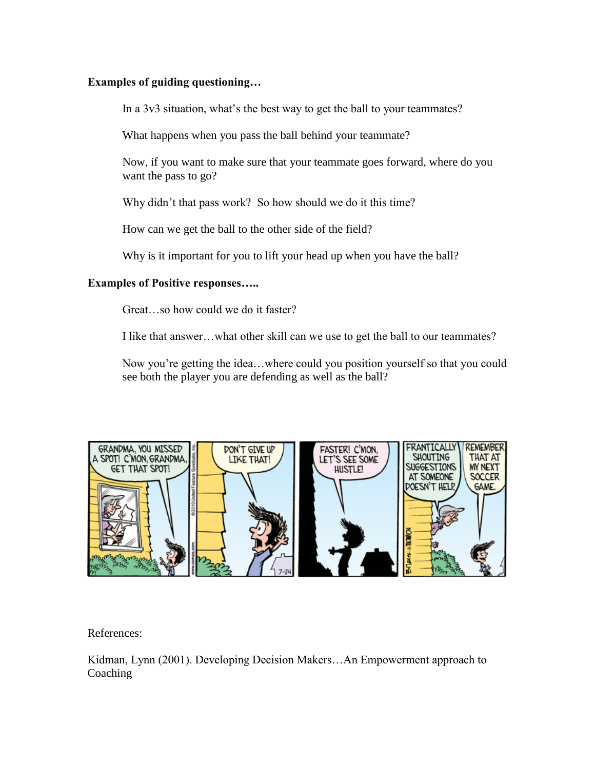#### **Examples of guiding questioning…**

In a 3v3 situation, what's the best way to get the ball to your teammates?

What happens when you pass the ball behind your teammate?

Now, if you want to make sure that your teammate goes forward, where do you want the pass to go?

Why didn't that pass work? So how should we do it this time?

How can we get the ball to the other side of the field?

Why is it important for you to lift your head up when you have the ball?

#### **Examples of Positive responses…..**

Great…so how could we do it faster?

I like that answer…what other skill can we use to get the ball to our teammates?

Now you're getting the idea…where could you position yourself so that you could see both the player you are defending as well as the ball?



References:

Kidman, Lynn (2001). Developing Decision Makers…An Empowerment approach to **Coaching**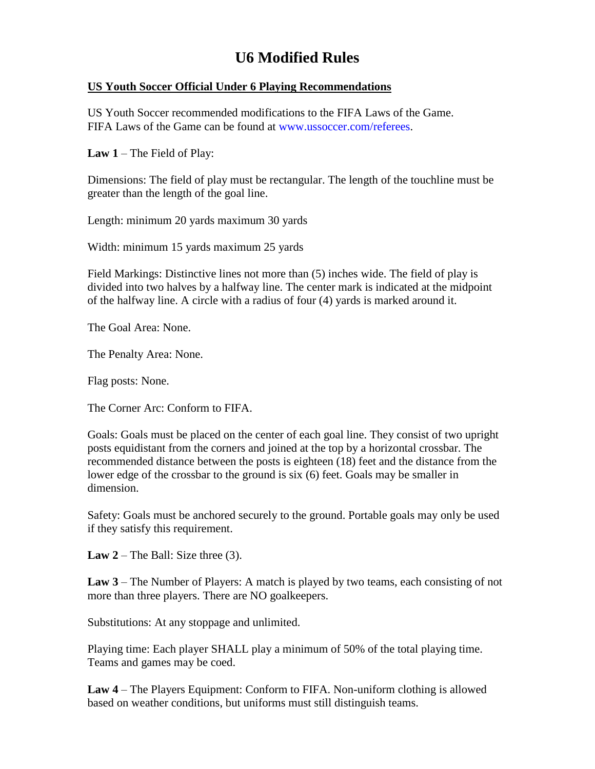## **U6 Modified Rules**

#### **US Youth Soccer Official Under 6 Playing Recommendations**

US Youth Soccer recommended modifications to the FIFA Laws of the Game. FIFA Laws of the Game can be found at www.ussoccer.com/referees.

**Law 1** – The Field of Play:

Dimensions: The field of play must be rectangular. The length of the touchline must be greater than the length of the goal line.

Length: minimum 20 yards maximum 30 yards

Width: minimum 15 yards maximum 25 yards

Field Markings: Distinctive lines not more than (5) inches wide. The field of play is divided into two halves by a halfway line. The center mark is indicated at the midpoint of the halfway line. A circle with a radius of four (4) yards is marked around it.

The Goal Area: None.

The Penalty Area: None.

Flag posts: None.

The Corner Arc: Conform to FIFA.

Goals: Goals must be placed on the center of each goal line. They consist of two upright posts equidistant from the corners and joined at the top by a horizontal crossbar. The recommended distance between the posts is eighteen (18) feet and the distance from the lower edge of the crossbar to the ground is six (6) feet. Goals may be smaller in dimension.

Safety: Goals must be anchored securely to the ground. Portable goals may only be used if they satisfy this requirement.

**Law 2** – The Ball: Size three  $(3)$ .

**Law 3** – The Number of Players: A match is played by two teams, each consisting of not more than three players. There are NO goalkeepers.

Substitutions: At any stoppage and unlimited.

Playing time: Each player SHALL play a minimum of 50% of the total playing time. Teams and games may be coed.

**Law 4** – The Players Equipment: Conform to FIFA. Non-uniform clothing is allowed based on weather conditions, but uniforms must still distinguish teams.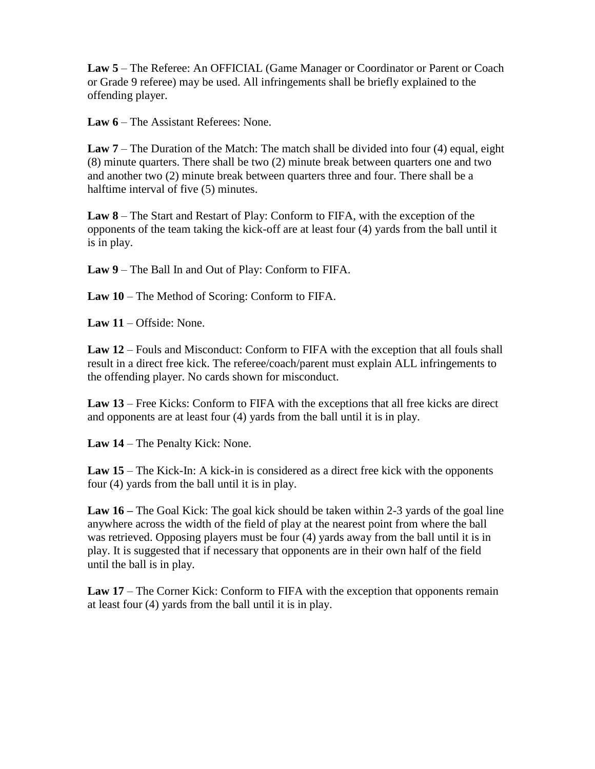**Law 5** – The Referee: An OFFICIAL (Game Manager or Coordinator or Parent or Coach or Grade 9 referee) may be used. All infringements shall be briefly explained to the offending player.

**Law 6** – The Assistant Referees: None.

**Law 7** – The Duration of the Match: The match shall be divided into four (4) equal, eight (8) minute quarters. There shall be two (2) minute break between quarters one and two and another two (2) minute break between quarters three and four. There shall be a halftime interval of five (5) minutes.

**Law 8** – The Start and Restart of Play: Conform to FIFA, with the exception of the opponents of the team taking the kick-off are at least four (4) yards from the ball until it is in play.

**Law 9** – The Ball In and Out of Play: Conform to FIFA.

**Law 10** – The Method of Scoring: Conform to FIFA.

**Law 11** – Offside: None.

**Law 12** – Fouls and Misconduct: Conform to FIFA with the exception that all fouls shall result in a direct free kick. The referee/coach/parent must explain ALL infringements to the offending player. No cards shown for misconduct.

**Law 13** – Free Kicks: Conform to FIFA with the exceptions that all free kicks are direct and opponents are at least four (4) yards from the ball until it is in play.

**Law 14** – The Penalty Kick: None.

Law 15 – The Kick-In: A kick-in is considered as a direct free kick with the opponents four (4) yards from the ball until it is in play.

**Law 16 –** The Goal Kick: The goal kick should be taken within 2-3 yards of the goal line anywhere across the width of the field of play at the nearest point from where the ball was retrieved. Opposing players must be four (4) yards away from the ball until it is in play. It is suggested that if necessary that opponents are in their own half of the field until the ball is in play.

Law 17 – The Corner Kick: Conform to FIFA with the exception that opponents remain at least four (4) yards from the ball until it is in play.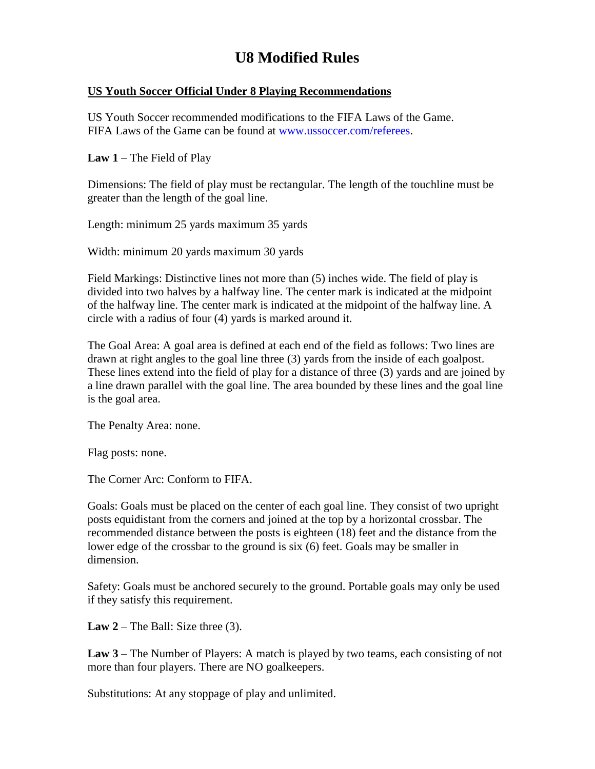## **U8 Modified Rules**

#### **US Youth Soccer Official Under 8 Playing Recommendations**

US Youth Soccer recommended modifications to the FIFA Laws of the Game. FIFA Laws of the Game can be found at www.ussoccer.com/referees.

**Law 1** – The Field of Play

Dimensions: The field of play must be rectangular. The length of the touchline must be greater than the length of the goal line.

Length: minimum 25 yards maximum 35 yards

Width: minimum 20 yards maximum 30 yards

Field Markings: Distinctive lines not more than (5) inches wide. The field of play is divided into two halves by a halfway line. The center mark is indicated at the midpoint of the halfway line. The center mark is indicated at the midpoint of the halfway line. A circle with a radius of four (4) yards is marked around it.

The Goal Area: A goal area is defined at each end of the field as follows: Two lines are drawn at right angles to the goal line three (3) yards from the inside of each goalpost. These lines extend into the field of play for a distance of three (3) yards and are joined by a line drawn parallel with the goal line. The area bounded by these lines and the goal line is the goal area.

The Penalty Area: none.

Flag posts: none.

The Corner Arc: Conform to FIFA.

Goals: Goals must be placed on the center of each goal line. They consist of two upright posts equidistant from the corners and joined at the top by a horizontal crossbar. The recommended distance between the posts is eighteen (18) feet and the distance from the lower edge of the crossbar to the ground is six (6) feet. Goals may be smaller in dimension.

Safety: Goals must be anchored securely to the ground. Portable goals may only be used if they satisfy this requirement.

**Law 2** – The Ball: Size three  $(3)$ .

**Law 3** – The Number of Players: A match is played by two teams, each consisting of not more than four players. There are NO goalkeepers.

Substitutions: At any stoppage of play and unlimited.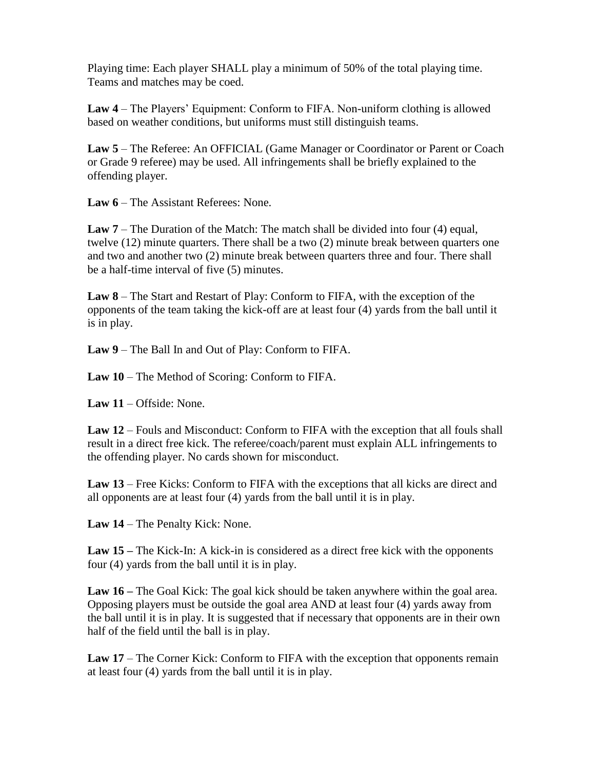Playing time: Each player SHALL play a minimum of 50% of the total playing time. Teams and matches may be coed.

**Law 4** – The Players' Equipment: Conform to FIFA. Non-uniform clothing is allowed based on weather conditions, but uniforms must still distinguish teams.

**Law 5** – The Referee: An OFFICIAL (Game Manager or Coordinator or Parent or Coach or Grade 9 referee) may be used. All infringements shall be briefly explained to the offending player.

**Law 6** – The Assistant Referees: None.

**Law 7** – The Duration of the Match: The match shall be divided into four (4) equal, twelve (12) minute quarters. There shall be a two (2) minute break between quarters one and two and another two (2) minute break between quarters three and four. There shall be a half-time interval of five (5) minutes.

**Law 8** – The Start and Restart of Play: Conform to FIFA, with the exception of the opponents of the team taking the kick-off are at least four (4) yards from the ball until it is in play.

**Law 9** – The Ball In and Out of Play: Conform to FIFA.

**Law 10** – The Method of Scoring: Conform to FIFA.

**Law 11** – Offside: None.

**Law 12** – Fouls and Misconduct: Conform to FIFA with the exception that all fouls shall result in a direct free kick. The referee/coach/parent must explain ALL infringements to the offending player. No cards shown for misconduct.

**Law 13** – Free Kicks: Conform to FIFA with the exceptions that all kicks are direct and all opponents are at least four (4) yards from the ball until it is in play.

**Law 14** – The Penalty Kick: None.

**Law 15 –** The Kick-In: A kick-in is considered as a direct free kick with the opponents four (4) yards from the ball until it is in play.

**Law 16 –** The Goal Kick: The goal kick should be taken anywhere within the goal area. Opposing players must be outside the goal area AND at least four (4) yards away from the ball until it is in play. It is suggested that if necessary that opponents are in their own half of the field until the ball is in play.

Law 17 – The Corner Kick: Conform to FIFA with the exception that opponents remain at least four (4) yards from the ball until it is in play.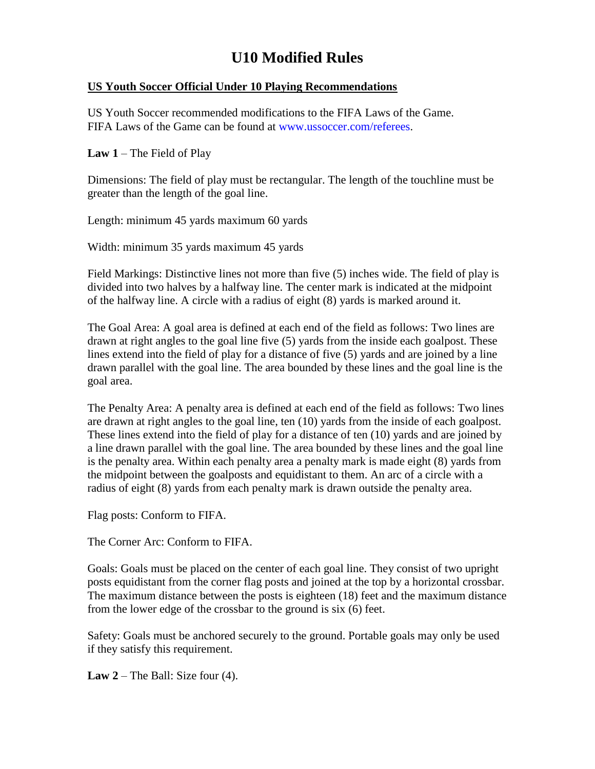## **U10 Modified Rules**

#### **US Youth Soccer Official Under 10 Playing Recommendations**

US Youth Soccer recommended modifications to the FIFA Laws of the Game. FIFA Laws of the Game can be found at www.ussoccer.com/referees.

**Law 1** – The Field of Play

Dimensions: The field of play must be rectangular. The length of the touchline must be greater than the length of the goal line.

Length: minimum 45 yards maximum 60 yards

Width: minimum 35 yards maximum 45 yards

Field Markings: Distinctive lines not more than five (5) inches wide. The field of play is divided into two halves by a halfway line. The center mark is indicated at the midpoint of the halfway line. A circle with a radius of eight (8) yards is marked around it.

The Goal Area: A goal area is defined at each end of the field as follows: Two lines are drawn at right angles to the goal line five (5) yards from the inside each goalpost. These lines extend into the field of play for a distance of five (5) yards and are joined by a line drawn parallel with the goal line. The area bounded by these lines and the goal line is the goal area.

The Penalty Area: A penalty area is defined at each end of the field as follows: Two lines are drawn at right angles to the goal line, ten (10) yards from the inside of each goalpost. These lines extend into the field of play for a distance of ten (10) yards and are joined by a line drawn parallel with the goal line. The area bounded by these lines and the goal line is the penalty area. Within each penalty area a penalty mark is made eight (8) yards from the midpoint between the goalposts and equidistant to them. An arc of a circle with a radius of eight (8) yards from each penalty mark is drawn outside the penalty area.

Flag posts: Conform to FIFA.

The Corner Arc: Conform to FIFA.

Goals: Goals must be placed on the center of each goal line. They consist of two upright posts equidistant from the corner flag posts and joined at the top by a horizontal crossbar. The maximum distance between the posts is eighteen (18) feet and the maximum distance from the lower edge of the crossbar to the ground is six (6) feet.

Safety: Goals must be anchored securely to the ground. Portable goals may only be used if they satisfy this requirement.

**Law 2** – The Ball: Size four (4).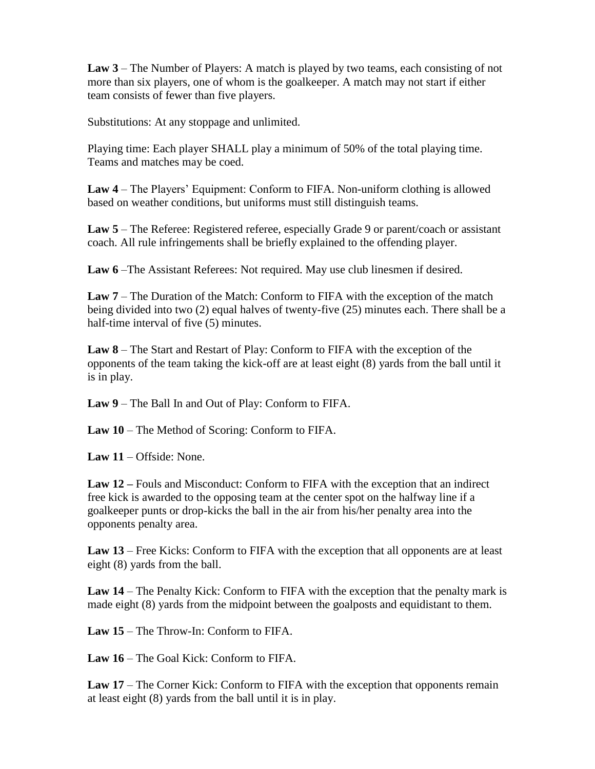**Law 3** – The Number of Players: A match is played by two teams, each consisting of not more than six players, one of whom is the goalkeeper. A match may not start if either team consists of fewer than five players.

Substitutions: At any stoppage and unlimited.

Playing time: Each player SHALL play a minimum of 50% of the total playing time. Teams and matches may be coed.

**Law 4** – The Players' Equipment: Conform to FIFA. Non-uniform clothing is allowed based on weather conditions, but uniforms must still distinguish teams.

**Law 5** – The Referee: Registered referee, especially Grade 9 or parent/coach or assistant coach. All rule infringements shall be briefly explained to the offending player.

**Law 6** –The Assistant Referees: Not required. May use club linesmen if desired.

**Law 7** – The Duration of the Match: Conform to FIFA with the exception of the match being divided into two (2) equal halves of twenty-five (25) minutes each. There shall be a half-time interval of five (5) minutes.

**Law 8** – The Start and Restart of Play: Conform to FIFA with the exception of the opponents of the team taking the kick-off are at least eight (8) yards from the ball until it is in play.

**Law 9** – The Ball In and Out of Play: Conform to FIFA.

**Law 10** – The Method of Scoring: Conform to FIFA.

**Law 11** – Offside: None.

**Law 12 –** Fouls and Misconduct: Conform to FIFA with the exception that an indirect free kick is awarded to the opposing team at the center spot on the halfway line if a goalkeeper punts or drop-kicks the ball in the air from his/her penalty area into the opponents penalty area.

**Law 13** – Free Kicks: Conform to FIFA with the exception that all opponents are at least eight (8) yards from the ball.

**Law 14** – The Penalty Kick: Conform to FIFA with the exception that the penalty mark is made eight (8) yards from the midpoint between the goalposts and equidistant to them.

**Law 15** – The Throw-In: Conform to FIFA.

**Law 16** – The Goal Kick: Conform to FIFA.

**Law 17** – The Corner Kick: Conform to FIFA with the exception that opponents remain at least eight (8) yards from the ball until it is in play.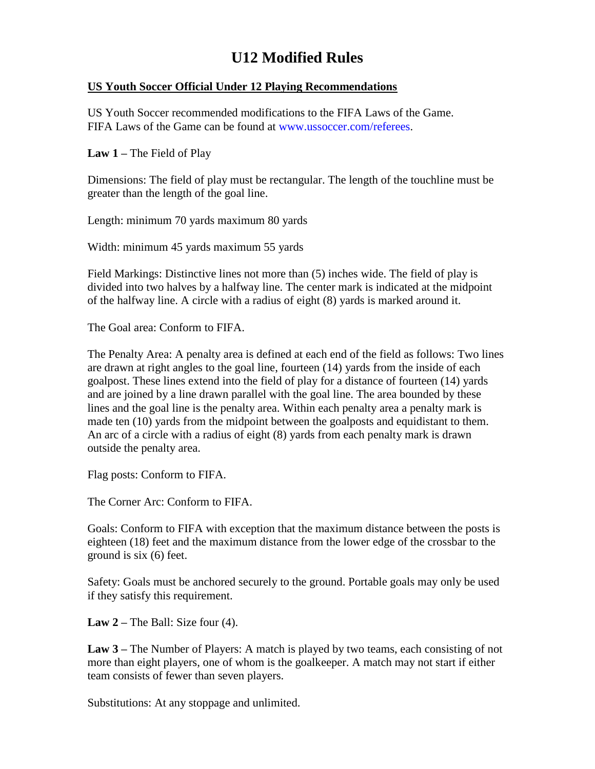## **U12 Modified Rules**

#### **US Youth Soccer Official Under 12 Playing Recommendations**

US Youth Soccer recommended modifications to the FIFA Laws of the Game. FIFA Laws of the Game can be found at www.ussoccer.com/referees.

**Law 1 –** The Field of Play

Dimensions: The field of play must be rectangular. The length of the touchline must be greater than the length of the goal line.

Length: minimum 70 yards maximum 80 yards

Width: minimum 45 yards maximum 55 yards

Field Markings: Distinctive lines not more than (5) inches wide. The field of play is divided into two halves by a halfway line. The center mark is indicated at the midpoint of the halfway line. A circle with a radius of eight (8) yards is marked around it.

The Goal area: Conform to FIFA.

The Penalty Area: A penalty area is defined at each end of the field as follows: Two lines are drawn at right angles to the goal line, fourteen (14) yards from the inside of each goalpost. These lines extend into the field of play for a distance of fourteen (14) yards and are joined by a line drawn parallel with the goal line. The area bounded by these lines and the goal line is the penalty area. Within each penalty area a penalty mark is made ten (10) yards from the midpoint between the goalposts and equidistant to them. An arc of a circle with a radius of eight (8) yards from each penalty mark is drawn outside the penalty area.

Flag posts: Conform to FIFA.

The Corner Arc: Conform to FIFA.

Goals: Conform to FIFA with exception that the maximum distance between the posts is eighteen (18) feet and the maximum distance from the lower edge of the crossbar to the ground is six (6) feet.

Safety: Goals must be anchored securely to the ground. Portable goals may only be used if they satisfy this requirement.

**Law 2 –** The Ball: Size four (4).

**Law 3 –** The Number of Players: A match is played by two teams, each consisting of not more than eight players, one of whom is the goalkeeper. A match may not start if either team consists of fewer than seven players.

Substitutions: At any stoppage and unlimited.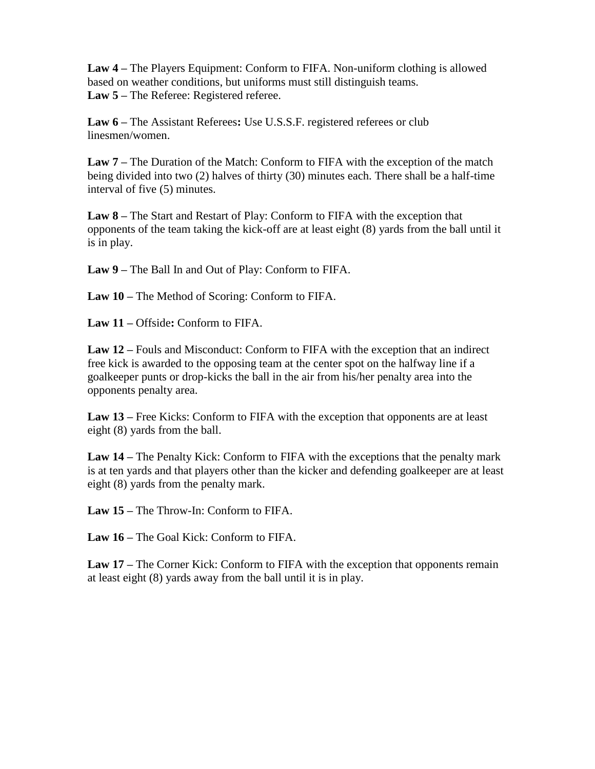**Law 4 –** The Players Equipment: Conform to FIFA. Non-uniform clothing is allowed based on weather conditions, but uniforms must still distinguish teams. **Law 5 –** The Referee: Registered referee.

**Law 6 –** The Assistant Referees**:** Use U.S.S.F. registered referees or club linesmen/women.

**Law 7 –** The Duration of the Match: Conform to FIFA with the exception of the match being divided into two (2) halves of thirty (30) minutes each. There shall be a half-time interval of five (5) minutes.

**Law 8 –** The Start and Restart of Play: Conform to FIFA with the exception that opponents of the team taking the kick-off are at least eight (8) yards from the ball until it is in play.

**Law 9 –** The Ball In and Out of Play: Conform to FIFA.

**Law 10 –** The Method of Scoring: Conform to FIFA.

**Law 11 –** Offside**:** Conform to FIFA.

**Law 12 –** Fouls and Misconduct: Conform to FIFA with the exception that an indirect free kick is awarded to the opposing team at the center spot on the halfway line if a goalkeeper punts or drop-kicks the ball in the air from his/her penalty area into the opponents penalty area.

**Law 13 –** Free Kicks: Conform to FIFA with the exception that opponents are at least eight (8) yards from the ball.

**Law 14 –** The Penalty Kick: Conform to FIFA with the exceptions that the penalty mark is at ten yards and that players other than the kicker and defending goalkeeper are at least eight (8) yards from the penalty mark.

**Law 15 –** The Throw-In: Conform to FIFA.

**Law 16 –** The Goal Kick: Conform to FIFA.

**Law 17 –** The Corner Kick: Conform to FIFA with the exception that opponents remain at least eight (8) yards away from the ball until it is in play.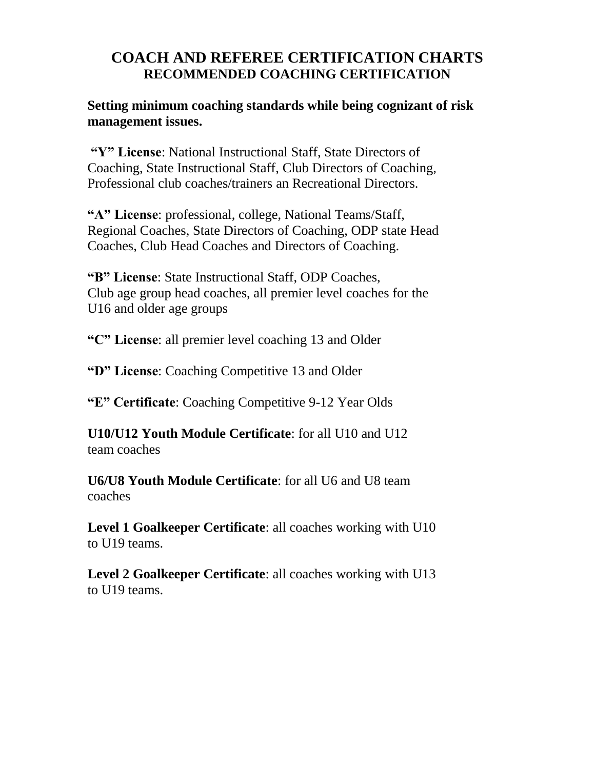## **COACH AND REFEREE CERTIFICATION CHARTS RECOMMENDED COACHING CERTIFICATION**

**Setting minimum coaching standards while being cognizant of risk management issues.**

**"Y" License**: National Instructional Staff, State Directors of Coaching, State Instructional Staff, Club Directors of Coaching, Professional club coaches/trainers an Recreational Directors.

**"A" License**: professional, college, National Teams/Staff, Regional Coaches, State Directors of Coaching, ODP state Head Coaches, Club Head Coaches and Directors of Coaching.

**"B" License**: State Instructional Staff, ODP Coaches, Club age group head coaches, all premier level coaches for the U16 and older age groups

**"C" License**: all premier level coaching 13 and Older

**"D" License**: Coaching Competitive 13 and Older

**"E" Certificate**: Coaching Competitive 9-12 Year Olds

**U10/U12 Youth Module Certificate**: for all U10 and U12 team coaches

**U6/U8 Youth Module Certificate**: for all U6 and U8 team coaches

**Level 1 Goalkeeper Certificate**: all coaches working with U10 to U19 teams.

**Level 2 Goalkeeper Certificate**: all coaches working with U13 to U19 teams.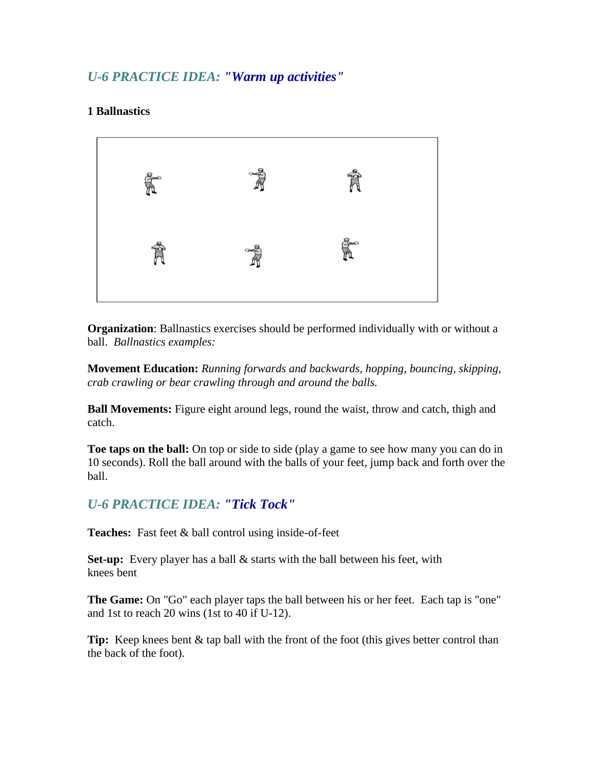## *U-6 PRACTICE IDEA: "Warm up activities"*

#### **1 Ballnastics**



**Organization**: Ballnastics exercises should be performed individually with or without a ball. *Ballnastics examples:* 

**Movement Education:** *Running forwards and backwards, hopping, bouncing, skipping, crab crawling or bear crawling through and around the balls.* 

**Ball Movements:** Figure eight around legs, round the waist, throw and catch, thigh and catch.

**Toe taps on the ball:** On top or side to side (play a game to see how many you can do in 10 seconds). Roll the ball around with the balls of your feet, jump back and forth over the ball.

#### *U-6 PRACTICE IDEA: "Tick Tock"*

**Teaches:** Fast feet & ball control using inside-of-feet

**Set-up:** Every player has a ball & starts with the ball between his feet, with knees bent

**The Game:** On "Go" each player taps the ball between his or her feet. Each tap is "one" and 1st to reach 20 wins (1st to 40 if U-12).

**Tip:** Keep knees bent & tap ball with the front of the foot (this gives better control than the back of the foot).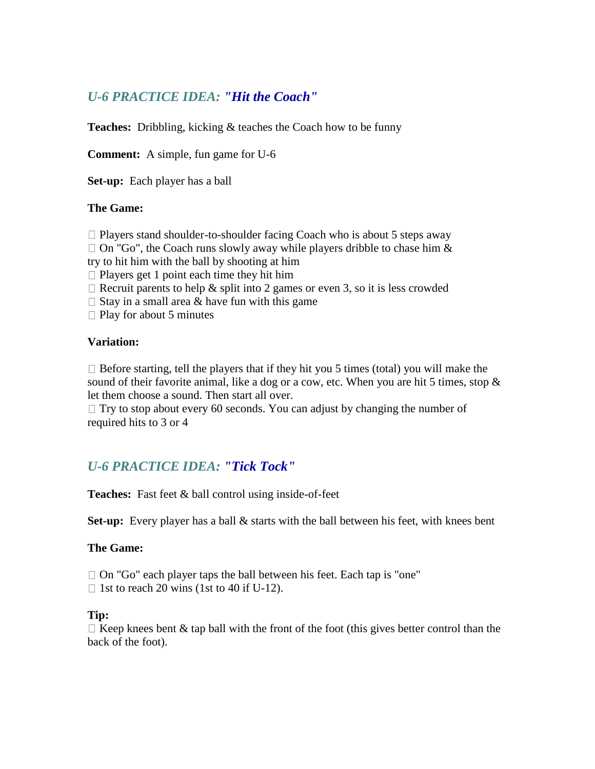## *U-6 PRACTICE IDEA: "Hit the Coach"*

**Teaches:** Dribbling, kicking & teaches the Coach how to be funny

**Comment:** A simple, fun game for U-6

**Set-up:** Each player has a ball

#### **The Game:**

 $\Box$  Players stand shoulder-to-shoulder facing Coach who is about 5 steps away

 $\Box$  On "Go", the Coach runs slowly away while players dribble to chase him & try to hit him with the ball by shooting at him

 $\Box$  Players get 1 point each time they hit him

 $\Box$  Recruit parents to help & split into 2 games or even 3, so it is less crowded

 $\Box$  Stay in a small area & have fun with this game

 $\Box$  Play for about 5 minutes

#### **Variation:**

 $\Box$  Before starting, tell the players that if they hit you 5 times (total) you will make the sound of their favorite animal, like a dog or a cow, etc. When you are hit 5 times, stop  $\&$ let them choose a sound. Then start all over.

 $\Box$  Try to stop about every 60 seconds. You can adjust by changing the number of required hits to 3 or 4

## *U-6 PRACTICE IDEA: "Tick Tock"*

**Teaches:** Fast feet & ball control using inside-of-feet

**Set-up:** Every player has a ball & starts with the ball between his feet, with knees bent

#### **The Game:**

□ On "Go" each player taps the ball between his feet. Each tap is "one"

 $\Box$  1st to reach 20 wins (1st to 40 if U-12).

#### **Tip:**

 $\Box$  Keep knees bent & tap ball with the front of the foot (this gives better control than the back of the foot).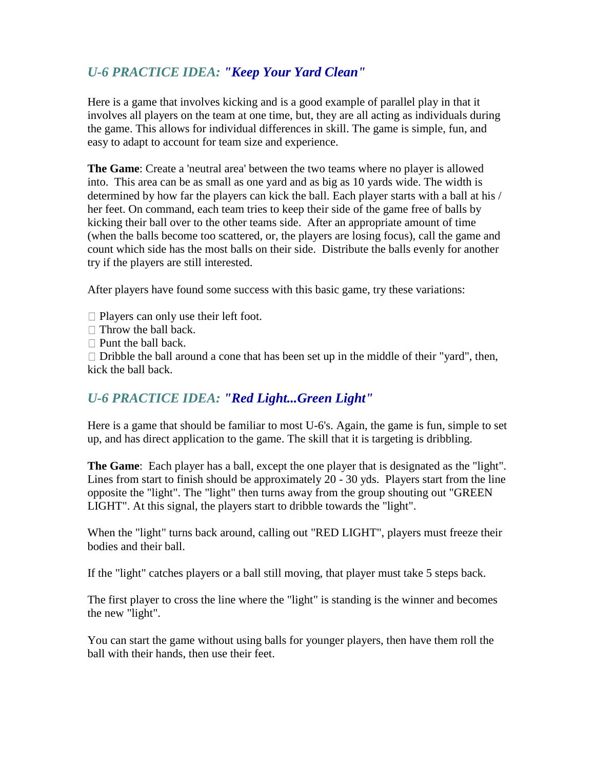## *U-6 PRACTICE IDEA: "Keep Your Yard Clean"*

Here is a game that involves kicking and is a good example of parallel play in that it involves all players on the team at one time, but, they are all acting as individuals during the game. This allows for individual differences in skill. The game is simple, fun, and easy to adapt to account for team size and experience.

**The Game**: Create a 'neutral area' between the two teams where no player is allowed into. This area can be as small as one yard and as big as 10 yards wide. The width is determined by how far the players can kick the ball. Each player starts with a ball at his / her feet. On command, each team tries to keep their side of the game free of balls by kicking their ball over to the other teams side. After an appropriate amount of time (when the balls become too scattered, or, the players are losing focus), call the game and count which side has the most balls on their side. Distribute the balls evenly for another try if the players are still interested.

After players have found some success with this basic game, try these variations:

- $\Box$  Players can only use their left foot.
- $\Box$  Throw the ball back.
- $\Box$  Punt the ball back.

 $\Box$  Dribble the ball around a cone that has been set up in the middle of their "yard", then, kick the ball back.

#### *U-6 PRACTICE IDEA: "Red Light...Green Light"*

Here is a game that should be familiar to most U-6's. Again, the game is fun, simple to set up, and has direct application to the game. The skill that it is targeting is dribbling.

**The Game**: Each player has a ball, except the one player that is designated as the "light". Lines from start to finish should be approximately 20 - 30 yds. Players start from the line opposite the "light". The "light" then turns away from the group shouting out "GREEN LIGHT". At this signal, the players start to dribble towards the "light".

When the "light" turns back around, calling out "RED LIGHT", players must freeze their bodies and their ball.

If the "light" catches players or a ball still moving, that player must take 5 steps back.

The first player to cross the line where the "light" is standing is the winner and becomes the new "light".

You can start the game without using balls for younger players, then have them roll the ball with their hands, then use their feet.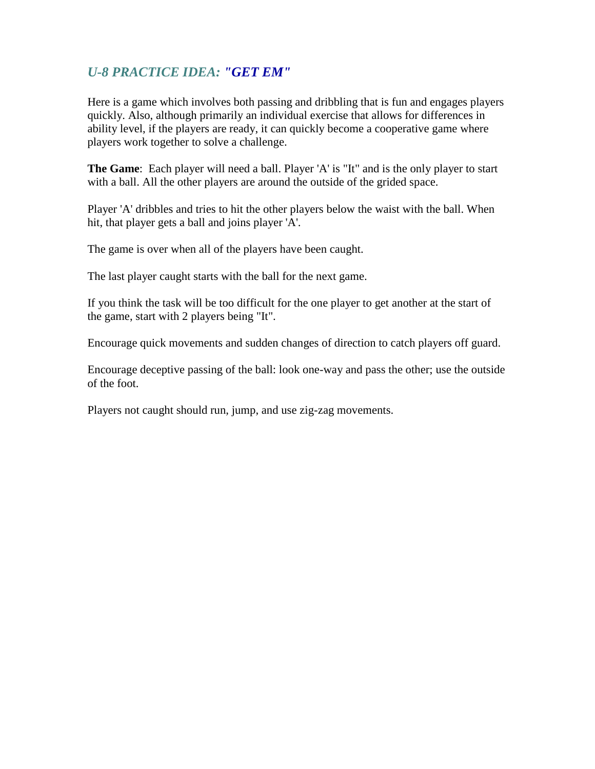## *U-8 PRACTICE IDEA: "GET EM"*

Here is a game which involves both passing and dribbling that is fun and engages players quickly. Also, although primarily an individual exercise that allows for differences in ability level, if the players are ready, it can quickly become a cooperative game where players work together to solve a challenge.

**The Game**: Each player will need a ball. Player 'A' is "It" and is the only player to start with a ball. All the other players are around the outside of the grided space.

Player 'A' dribbles and tries to hit the other players below the waist with the ball. When hit, that player gets a ball and joins player 'A'.

The game is over when all of the players have been caught.

The last player caught starts with the ball for the next game.

If you think the task will be too difficult for the one player to get another at the start of the game, start with 2 players being "It".

Encourage quick movements and sudden changes of direction to catch players off guard.

Encourage deceptive passing of the ball: look one-way and pass the other; use the outside of the foot.

Players not caught should run, jump, and use zig-zag movements.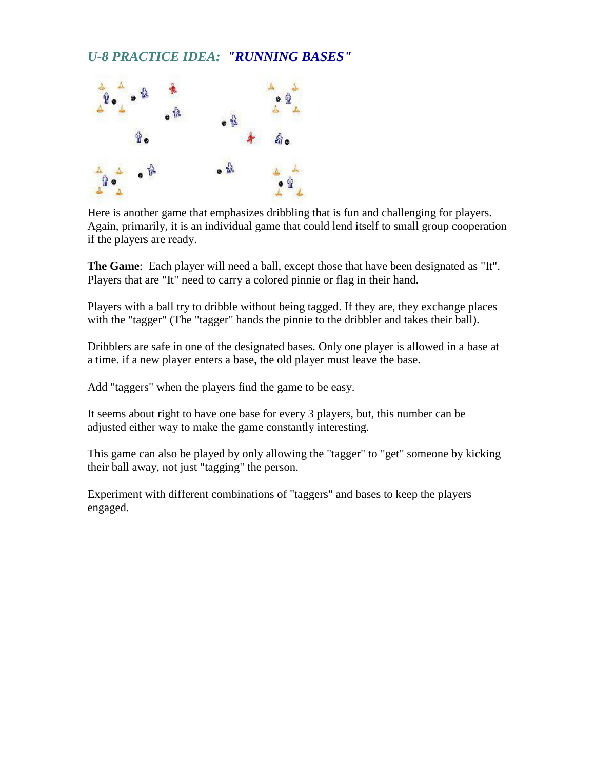## *U-8 PRACTICE IDEA: "RUNNING BASES"*



Here is another game that emphasizes dribbling that is fun and challenging for players. Again, primarily, it is an individual game that could lend itself to small group cooperation if the players are ready.

**The Game**: Each player will need a ball, except those that have been designated as "It". Players that are "It" need to carry a colored pinnie or flag in their hand.

Players with a ball try to dribble without being tagged. If they are, they exchange places with the "tagger" (The "tagger" hands the pinnie to the dribbler and takes their ball).

Dribblers are safe in one of the designated bases. Only one player is allowed in a base at a time. if a new player enters a base, the old player must leave the base.

Add "taggers" when the players find the game to be easy.

It seems about right to have one base for every 3 players, but, this number can be adjusted either way to make the game constantly interesting.

This game can also be played by only allowing the "tagger" to "get" someone by kicking their ball away, not just "tagging" the person.

Experiment with different combinations of "taggers" and bases to keep the players engaged.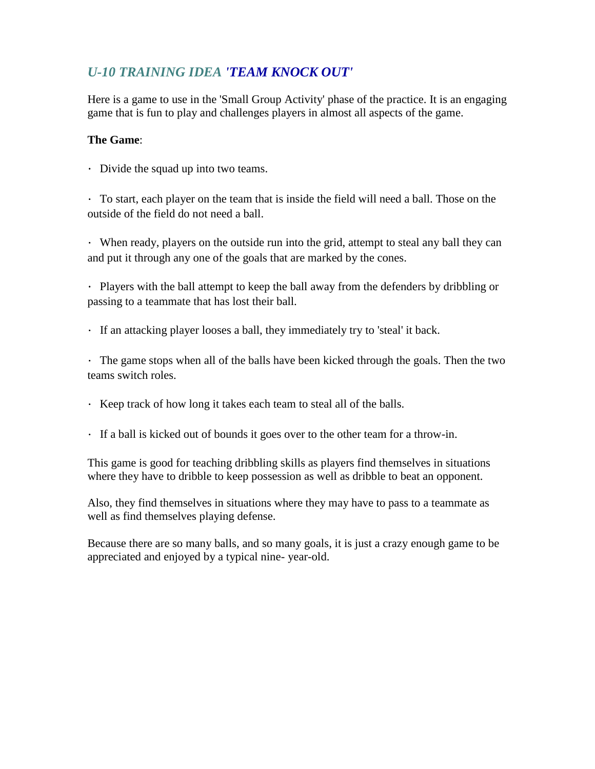## *U-10 TRAINING IDEA 'TEAM KNOCK OUT'*

Here is a game to use in the 'Small Group Activity' phase of the practice. It is an engaging game that is fun to play and challenges players in almost all aspects of the game.

#### **The Game**:

Divide the squad up into two teams.

To start, each player on the team that is inside the field will need a ball. Those on the outside of the field do not need a ball.

When ready, players on the outside run into the grid, attempt to steal any ball they can and put it through any one of the goals that are marked by the cones.

Players with the ball attempt to keep the ball away from the defenders by dribbling or passing to a teammate that has lost their ball.

If an attacking player looses a ball, they immediately try to 'steal' it back.

The game stops when all of the balls have been kicked through the goals. Then the two teams switch roles.

- Keep track of how long it takes each team to steal all of the balls.
- If a ball is kicked out of bounds it goes over to the other team for a throw-in.

This game is good for teaching dribbling skills as players find themselves in situations where they have to dribble to keep possession as well as dribble to beat an opponent.

Also, they find themselves in situations where they may have to pass to a teammate as well as find themselves playing defense.

Because there are so many balls, and so many goals, it is just a crazy enough game to be appreciated and enjoyed by a typical nine- year-old.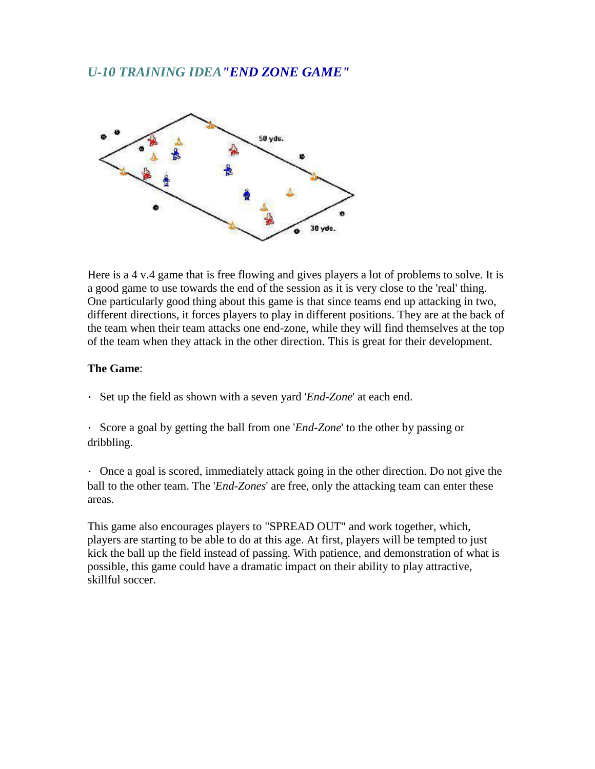### *U-10 TRAINING IDEA"END ZONE GAME"*



Here is a 4 v.4 game that is free flowing and gives players a lot of problems to solve. It is a good game to use towards the end of the session as it is very close to the 'real' thing. One particularly good thing about this game is that since teams end up attacking in two, different directions, it forces players to play in different positions. They are at the back of the team when their team attacks one end-zone, while they will find themselves at the top of the team when they attack in the other direction. This is great for their development.

#### **The Game**:

Set up the field as shown with a seven yard '*End-Zone*' at each end.

Score a goal by getting the ball from one '*End-Zone*' to the other by passing or dribbling.

 $\cdot$  Once a goal is scored, immediately attack going in the other direction. Do not give the ball to the other team. The '*End-Zones*' are free, only the attacking team can enter these areas.

This game also encourages players to "SPREAD OUT" and work together, which, players are starting to be able to do at this age. At first, players will be tempted to just kick the ball up the field instead of passing. With patience, and demonstration of what is possible, this game could have a dramatic impact on their ability to play attractive, skillful soccer.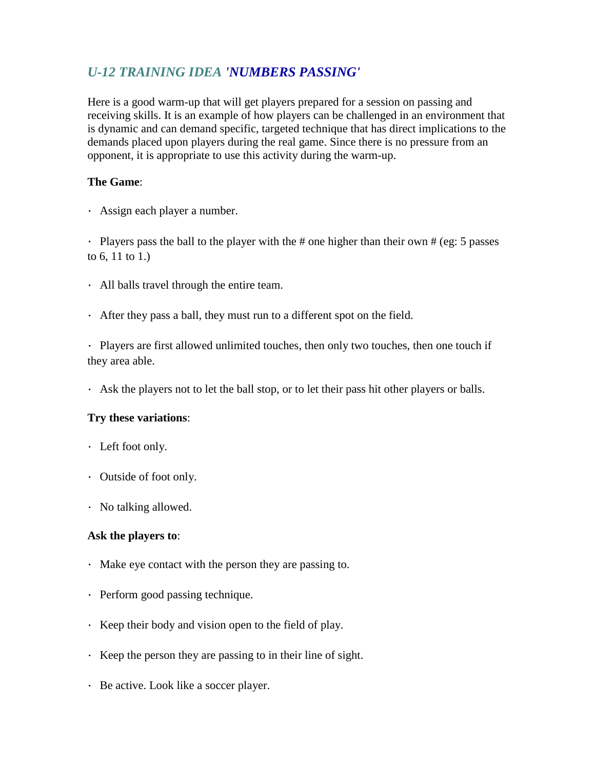## *U-12 TRAINING IDEA 'NUMBERS PASSING'*

Here is a good warm-up that will get players prepared for a session on passing and receiving skills. It is an example of how players can be challenged in an environment that is dynamic and can demand specific, targeted technique that has direct implications to the demands placed upon players during the real game. Since there is no pressure from an opponent, it is appropriate to use this activity during the warm-up.

#### **The Game**:

Assign each player a number.

Players pass the ball to the player with the # one higher than their own  $\#$  (eg: 5 passes to 6, 11 to 1.)

- All balls travel through the entire team.
- After they pass a ball, they must run to a different spot on the field.

Players are first allowed unlimited touches, then only two touches, then one touch if they area able.

Ask the players not to let the ball stop, or to let their pass hit other players or balls.

#### **Try these variations**:

- Left foot only.
- Outside of foot only.
- No talking allowed.

#### **Ask the players to**:

- Make eye contact with the person they are passing to.
- Perform good passing technique.
- $\cdot$  Keep their body and vision open to the field of play.
- $\cdot$  Keep the person they are passing to in their line of sight.
- Be active. Look like a soccer player.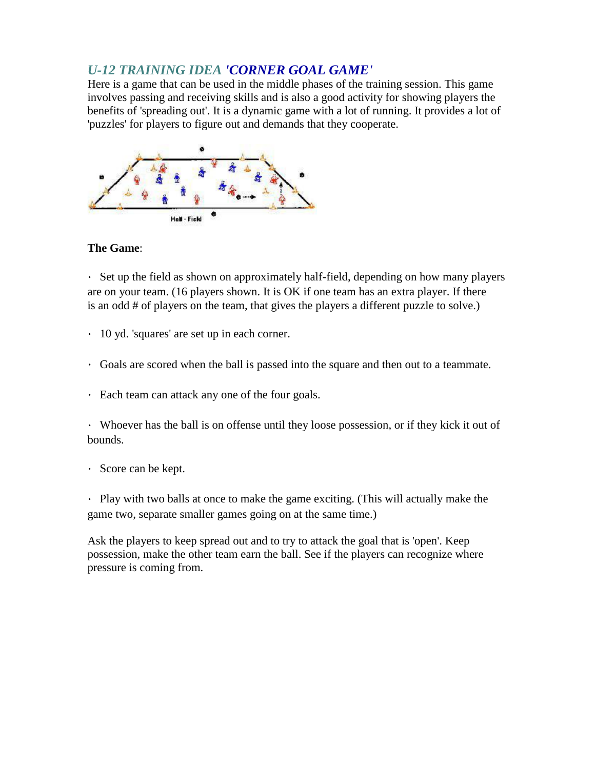### *U-12 TRAINING IDEA 'CORNER GOAL GAME'*

Here is a game that can be used in the middle phases of the training session. This game involves passing and receiving skills and is also a good activity for showing players the benefits of 'spreading out'. It is a dynamic game with a lot of running. It provides a lot of 'puzzles' for players to figure out and demands that they cooperate.



#### **The Game**:

Set up the field as shown on approximately half-field, depending on how many players are on your team. (16 players shown. It is OK if one team has an extra player. If there is an odd # of players on the team, that gives the players a different puzzle to solve.)

- 10 yd. 'squares' are set up in each corner.
- Goals are scored when the ball is passed into the square and then out to a teammate.
- Each team can attack any one of the four goals.

Whoever has the ball is on offense until they loose possession, or if they kick it out of bounds.

Score can be kept.

Play with two balls at once to make the game exciting. (This will actually make the game two, separate smaller games going on at the same time.)

Ask the players to keep spread out and to try to attack the goal that is 'open'. Keep possession, make the other team earn the ball. See if the players can recognize where pressure is coming from.